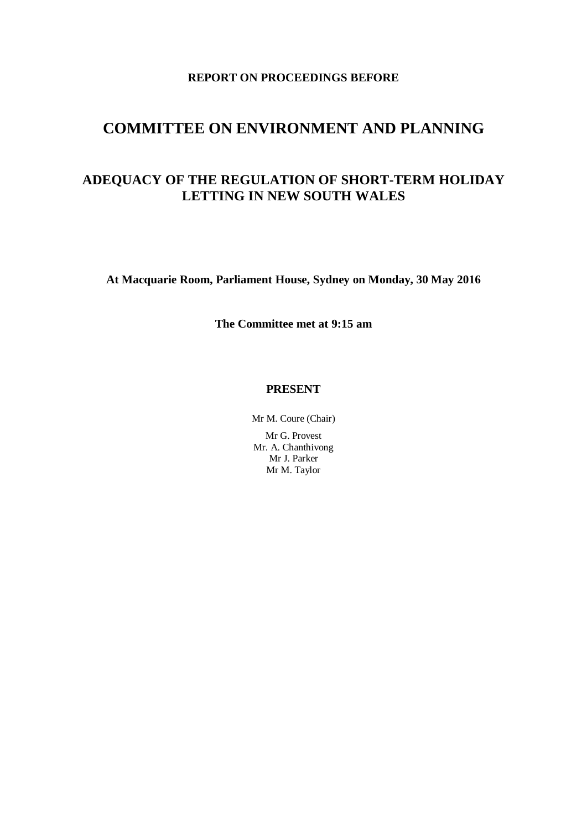# **REPORT ON PROCEEDINGS BEFORE**

# **COMMITTEE ON ENVIRONMENT AND PLANNING**

# **ADEQUACY OF THE REGULATION OF SHORT-TERM HOLIDAY LETTING IN NEW SOUTH WALES**

**At Macquarie Room, Parliament House, Sydney on Monday, 30 May 2016**

**The Committee met at 9:15 am**

## **PRESENT**

Mr M. Coure (Chair)

Mr G. Provest Mr. A. Chanthivong Mr J. Parker Mr M. Taylor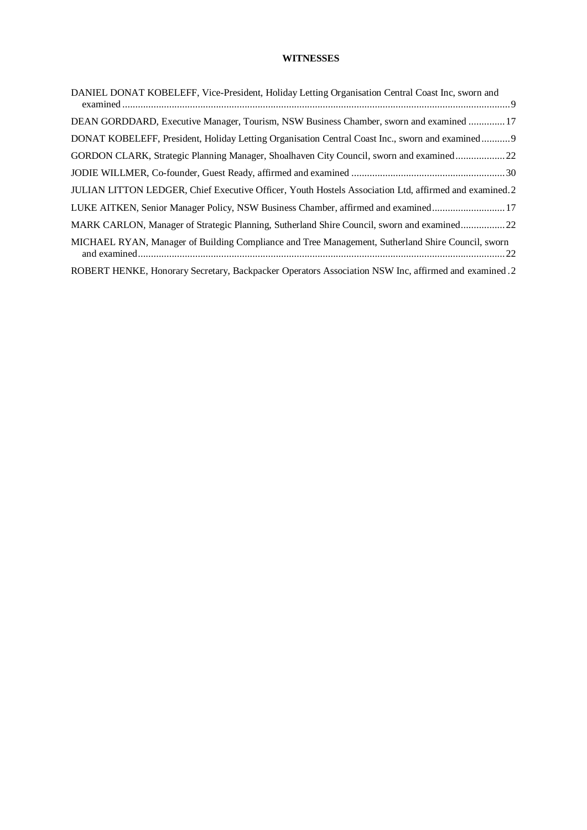## **WITNESSES**

| DANIEL DONAT KOBELEFF, Vice-President, Holiday Letting Organisation Central Coast Inc, sworn and      |
|-------------------------------------------------------------------------------------------------------|
| DEAN GORDDARD, Executive Manager, Tourism, NSW Business Chamber, sworn and examined  17               |
| DONAT KOBELEFF, President, Holiday Letting Organisation Central Coast Inc., sworn and examined 9      |
| GORDON CLARK, Strategic Planning Manager, Shoalhaven City Council, sworn and examined22               |
|                                                                                                       |
| JULIAN LITTON LEDGER, Chief Executive Officer, Youth Hostels Association Ltd, affirmed and examined.2 |
| LUKE AITKEN, Senior Manager Policy, NSW Business Chamber, affirmed and examined17                     |
| MARK CARLON, Manager of Strategic Planning, Sutherland Shire Council, sworn and examined22            |
| MICHAEL RYAN, Manager of Building Compliance and Tree Management, Sutherland Shire Council, sworn     |
| ROBERT HENKE, Honorary Secretary, Backpacker Operators Association NSW Inc, affirmed and examined .2  |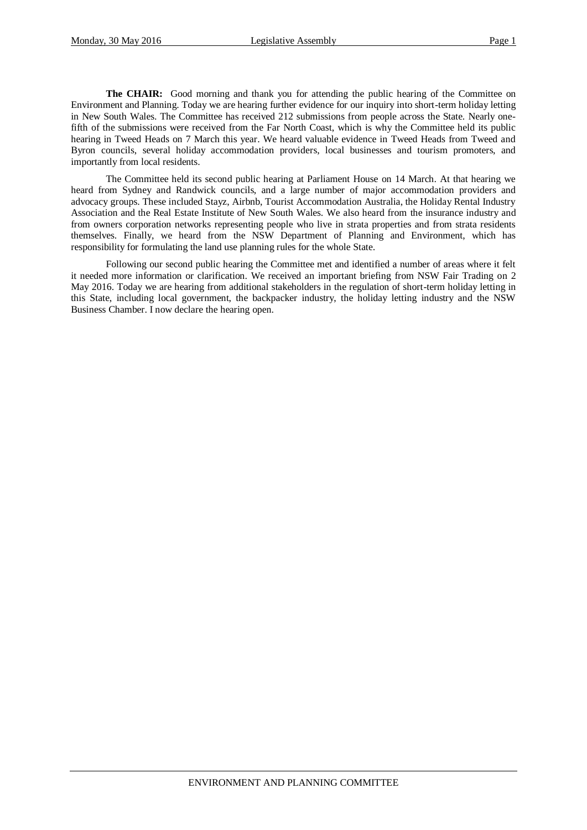**The CHAIR:** Good morning and thank you for attending the public hearing of the Committee on Environment and Planning. Today we are hearing further evidence for our inquiry into short-term holiday letting in New South Wales. The Committee has received 212 submissions from people across the State. Nearly onefifth of the submissions were received from the Far North Coast, which is why the Committee held its public hearing in Tweed Heads on 7 March this year. We heard valuable evidence in Tweed Heads from Tweed and Byron councils, several holiday accommodation providers, local businesses and tourism promoters, and importantly from local residents.

The Committee held its second public hearing at Parliament House on 14 March. At that hearing we heard from Sydney and Randwick councils, and a large number of major accommodation providers and advocacy groups. These included Stayz, Airbnb, Tourist Accommodation Australia, the Holiday Rental Industry Association and the Real Estate Institute of New South Wales. We also heard from the insurance industry and from owners corporation networks representing people who live in strata properties and from strata residents themselves. Finally, we heard from the NSW Department of Planning and Environment, which has responsibility for formulating the land use planning rules for the whole State.

Following our second public hearing the Committee met and identified a number of areas where it felt it needed more information or clarification. We received an important briefing from NSW Fair Trading on 2 May 2016. Today we are hearing from additional stakeholders in the regulation of short-term holiday letting in this State, including local government, the backpacker industry, the holiday letting industry and the NSW Business Chamber. I now declare the hearing open.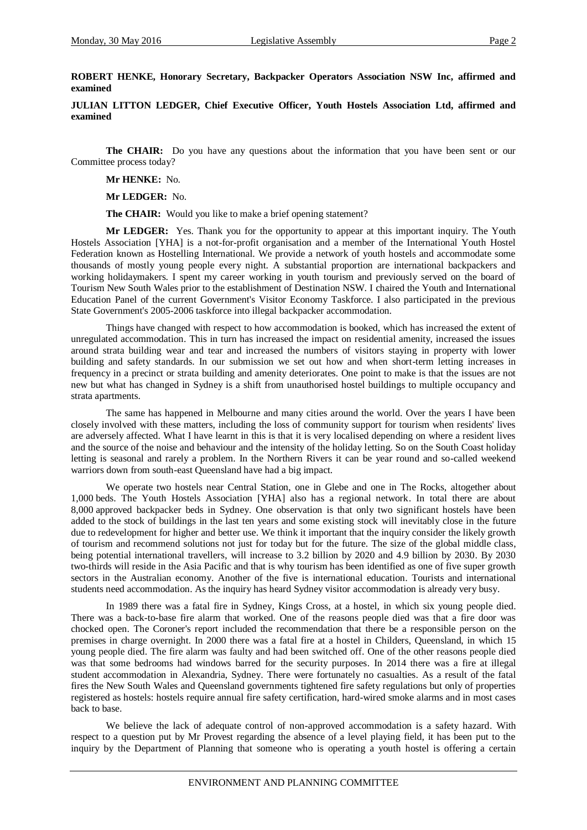## **ROBERT HENKE, Honorary Secretary, Backpacker Operators Association NSW Inc, affirmed and examined**

**JULIAN LITTON LEDGER, Chief Executive Officer, Youth Hostels Association Ltd, affirmed and examined**

**The CHAIR:** Do you have any questions about the information that you have been sent or our Committee process today?

**Mr HENKE:** No.

**Mr LEDGER:** No.

**The CHAIR:** Would you like to make a brief opening statement?

**Mr LEDGER:** Yes. Thank you for the opportunity to appear at this important inquiry. The Youth Hostels Association [YHA] is a not-for-profit organisation and a member of the International Youth Hostel Federation known as Hostelling International. We provide a network of youth hostels and accommodate some thousands of mostly young people every night. A substantial proportion are international backpackers and working holidaymakers. I spent my career working in youth tourism and previously served on the board of Tourism New South Wales prior to the establishment of Destination NSW. I chaired the Youth and International Education Panel of the current Government's Visitor Economy Taskforce. I also participated in the previous State Government's 2005-2006 taskforce into illegal backpacker accommodation.

Things have changed with respect to how accommodation is booked, which has increased the extent of unregulated accommodation. This in turn has increased the impact on residential amenity, increased the issues around strata building wear and tear and increased the numbers of visitors staying in property with lower building and safety standards. In our submission we set out how and when short-term letting increases in frequency in a precinct or strata building and amenity deteriorates. One point to make is that the issues are not new but what has changed in Sydney is a shift from unauthorised hostel buildings to multiple occupancy and strata apartments.

The same has happened in Melbourne and many cities around the world. Over the years I have been closely involved with these matters, including the loss of community support for tourism when residents' lives are adversely affected. What I have learnt in this is that it is very localised depending on where a resident lives and the source of the noise and behaviour and the intensity of the holiday letting. So on the South Coast holiday letting is seasonal and rarely a problem. In the Northern Rivers it can be year round and so-called weekend warriors down from south-east Queensland have had a big impact.

We operate two hostels near Central Station, one in Glebe and one in The Rocks, altogether about 1,000 beds. The Youth Hostels Association [YHA] also has a regional network. In total there are about 8,000 approved backpacker beds in Sydney. One observation is that only two significant hostels have been added to the stock of buildings in the last ten years and some existing stock will inevitably close in the future due to redevelopment for higher and better use. We think it important that the inquiry consider the likely growth of tourism and recommend solutions not just for today but for the future. The size of the global middle class, being potential international travellers, will increase to 3.2 billion by 2020 and 4.9 billion by 2030. By 2030 two-thirds will reside in the Asia Pacific and that is why tourism has been identified as one of five super growth sectors in the Australian economy. Another of the five is international education. Tourists and international students need accommodation. As the inquiry has heard Sydney visitor accommodation is already very busy.

In 1989 there was a fatal fire in Sydney, Kings Cross, at a hostel, in which six young people died. There was a back-to-base fire alarm that worked. One of the reasons people died was that a fire door was chocked open. The Coroner's report included the recommendation that there be a responsible person on the premises in charge overnight. In 2000 there was a fatal fire at a hostel in Childers, Queensland, in which 15 young people died. The fire alarm was faulty and had been switched off. One of the other reasons people died was that some bedrooms had windows barred for the security purposes. In 2014 there was a fire at illegal student accommodation in Alexandria, Sydney. There were fortunately no casualties. As a result of the fatal fires the New South Wales and Queensland governments tightened fire safety regulations but only of properties registered as hostels: hostels require annual fire safety certification, hard-wired smoke alarms and in most cases back to base.

We believe the lack of adequate control of non-approved accommodation is a safety hazard. With respect to a question put by Mr Provest regarding the absence of a level playing field, it has been put to the inquiry by the Department of Planning that someone who is operating a youth hostel is offering a certain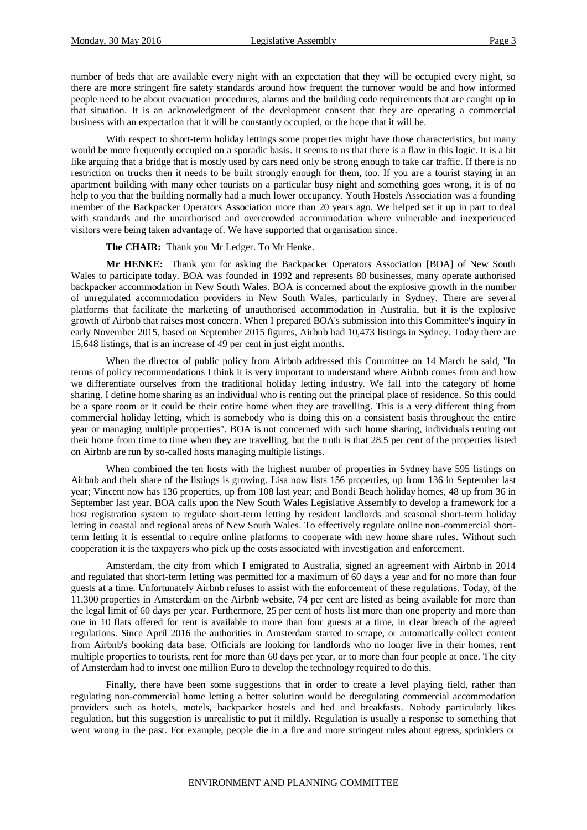number of beds that are available every night with an expectation that they will be occupied every night, so there are more stringent fire safety standards around how frequent the turnover would be and how informed people need to be about evacuation procedures, alarms and the building code requirements that are caught up in that situation. It is an acknowledgment of the development consent that they are operating a commercial business with an expectation that it will be constantly occupied, or the hope that it will be.

With respect to short-term holiday lettings some properties might have those characteristics, but many would be more frequently occupied on a sporadic basis. It seems to us that there is a flaw in this logic. It is a bit like arguing that a bridge that is mostly used by cars need only be strong enough to take car traffic. If there is no restriction on trucks then it needs to be built strongly enough for them, too. If you are a tourist staying in an apartment building with many other tourists on a particular busy night and something goes wrong, it is of no help to you that the building normally had a much lower occupancy. Youth Hostels Association was a founding member of the Backpacker Operators Association more than 20 years ago. We helped set it up in part to deal with standards and the unauthorised and overcrowded accommodation where vulnerable and inexperienced visitors were being taken advantage of. We have supported that organisation since.

#### **The CHAIR:** Thank you Mr Ledger. To Mr Henke.

**Mr HENKE:** Thank you for asking the Backpacker Operators Association [BOA] of New South Wales to participate today. BOA was founded in 1992 and represents 80 businesses, many operate authorised backpacker accommodation in New South Wales. BOA is concerned about the explosive growth in the number of unregulated accommodation providers in New South Wales, particularly in Sydney. There are several platforms that facilitate the marketing of unauthorised accommodation in Australia, but it is the explosive growth of Airbnb that raises most concern. When I prepared BOA's submission into this Committee's inquiry in early November 2015, based on September 2015 figures, Airbnb had 10,473 listings in Sydney. Today there are 15,648 listings, that is an increase of 49 per cent in just eight months.

When the director of public policy from Airbnb addressed this Committee on 14 March he said, "In terms of policy recommendations I think it is very important to understand where Airbnb comes from and how we differentiate ourselves from the traditional holiday letting industry. We fall into the category of home sharing. I define home sharing as an individual who is renting out the principal place of residence. So this could be a spare room or it could be their entire home when they are travelling. This is a very different thing from commercial holiday letting, which is somebody who is doing this on a consistent basis throughout the entire year or managing multiple properties". BOA is not concerned with such home sharing, individuals renting out their home from time to time when they are travelling, but the truth is that 28.5 per cent of the properties listed on Airbnb are run by so-called hosts managing multiple listings.

When combined the ten hosts with the highest number of properties in Sydney have 595 listings on Airbnb and their share of the listings is growing. Lisa now lists 156 properties, up from 136 in September last year; Vincent now has 136 properties, up from 108 last year; and Bondi Beach holiday homes, 48 up from 36 in September last year. BOA calls upon the New South Wales Legislative Assembly to develop a framework for a host registration system to regulate short-term letting by resident landlords and seasonal short-term holiday letting in coastal and regional areas of New South Wales. To effectively regulate online non-commercial shortterm letting it is essential to require online platforms to cooperate with new home share rules. Without such cooperation it is the taxpayers who pick up the costs associated with investigation and enforcement.

Amsterdam, the city from which I emigrated to Australia, signed an agreement with Airbnb in 2014 and regulated that short-term letting was permitted for a maximum of 60 days a year and for no more than four guests at a time. Unfortunately Airbnb refuses to assist with the enforcement of these regulations. Today, of the 11,300 properties in Amsterdam on the Airbnb website, 74 per cent are listed as being available for more than the legal limit of 60 days per year. Furthermore, 25 per cent of hosts list more than one property and more than one in 10 flats offered for rent is available to more than four guests at a time, in clear breach of the agreed regulations. Since April 2016 the authorities in Amsterdam started to scrape, or automatically collect content from Airbnb's booking data base. Officials are looking for landlords who no longer live in their homes, rent multiple properties to tourists, rent for more than 60 days per year, or to more than four people at once. The city of Amsterdam had to invest one million Euro to develop the technology required to do this.

Finally, there have been some suggestions that in order to create a level playing field, rather than regulating non-commercial home letting a better solution would be deregulating commercial accommodation providers such as hotels, motels, backpacker hostels and bed and breakfasts. Nobody particularly likes regulation, but this suggestion is unrealistic to put it mildly. Regulation is usually a response to something that went wrong in the past. For example, people die in a fire and more stringent rules about egress, sprinklers or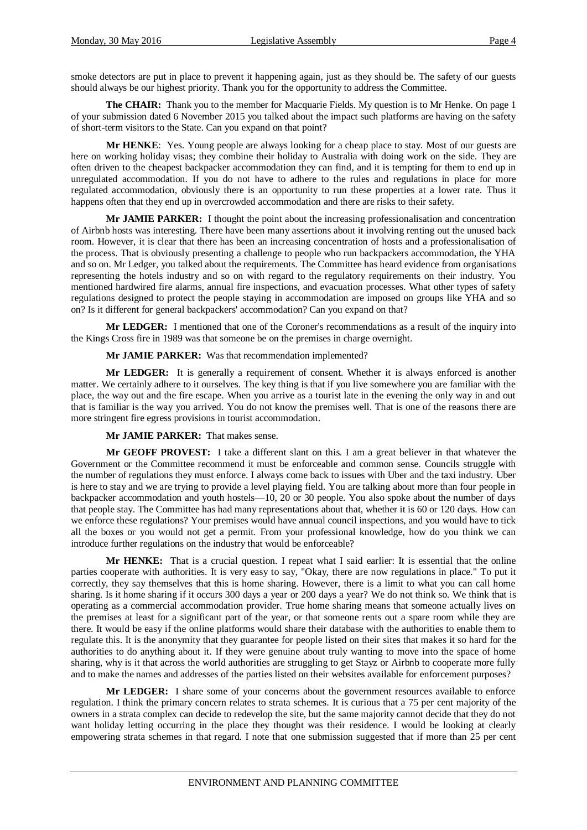smoke detectors are put in place to prevent it happening again, just as they should be. The safety of our guests should always be our highest priority. Thank you for the opportunity to address the Committee.

**The CHAIR:** Thank you to the member for Macquarie Fields. My question is to Mr Henke. On page 1 of your submission dated 6 November 2015 you talked about the impact such platforms are having on the safety of short-term visitors to the State. Can you expand on that point?

**Mr HENKE**: Yes. Young people are always looking for a cheap place to stay. Most of our guests are here on working holiday visas; they combine their holiday to Australia with doing work on the side. They are often driven to the cheapest backpacker accommodation they can find, and it is tempting for them to end up in unregulated accommodation. If you do not have to adhere to the rules and regulations in place for more regulated accommodation, obviously there is an opportunity to run these properties at a lower rate. Thus it happens often that they end up in overcrowded accommodation and there are risks to their safety.

**Mr JAMIE PARKER:** I thought the point about the increasing professionalisation and concentration of Airbnb hosts was interesting. There have been many assertions about it involving renting out the unused back room. However, it is clear that there has been an increasing concentration of hosts and a professionalisation of the process. That is obviously presenting a challenge to people who run backpackers accommodation, the YHA and so on. Mr Ledger, you talked about the requirements. The Committee has heard evidence from organisations representing the hotels industry and so on with regard to the regulatory requirements on their industry. You mentioned hardwired fire alarms, annual fire inspections, and evacuation processes. What other types of safety regulations designed to protect the people staying in accommodation are imposed on groups like YHA and so on? Is it different for general backpackers' accommodation? Can you expand on that?

**Mr LEDGER:** I mentioned that one of the Coroner's recommendations as a result of the inquiry into the Kings Cross fire in 1989 was that someone be on the premises in charge overnight.

**Mr JAMIE PARKER:** Was that recommendation implemented?

**Mr LEDGER:** It is generally a requirement of consent. Whether it is always enforced is another matter. We certainly adhere to it ourselves. The key thing is that if you live somewhere you are familiar with the place, the way out and the fire escape. When you arrive as a tourist late in the evening the only way in and out that is familiar is the way you arrived. You do not know the premises well. That is one of the reasons there are more stringent fire egress provisions in tourist accommodation.

**Mr JAMIE PARKER:** That makes sense.

**Mr GEOFF PROVEST:** I take a different slant on this. I am a great believer in that whatever the Government or the Committee recommend it must be enforceable and common sense. Councils struggle with the number of regulations they must enforce. I always come back to issues with Uber and the taxi industry. Uber is here to stay and we are trying to provide a level playing field. You are talking about more than four people in backpacker accommodation and youth hostels—10, 20 or 30 people. You also spoke about the number of days that people stay. The Committee has had many representations about that, whether it is 60 or 120 days. How can we enforce these regulations? Your premises would have annual council inspections, and you would have to tick all the boxes or you would not get a permit. From your professional knowledge, how do you think we can introduce further regulations on the industry that would be enforceable?

**Mr HENKE:** That is a crucial question. I repeat what I said earlier: It is essential that the online parties cooperate with authorities. It is very easy to say, "Okay, there are now regulations in place." To put it correctly, they say themselves that this is home sharing. However, there is a limit to what you can call home sharing. Is it home sharing if it occurs 300 days a year or 200 days a year? We do not think so. We think that is operating as a commercial accommodation provider. True home sharing means that someone actually lives on the premises at least for a significant part of the year, or that someone rents out a spare room while they are there. It would be easy if the online platforms would share their database with the authorities to enable them to regulate this. It is the anonymity that they guarantee for people listed on their sites that makes it so hard for the authorities to do anything about it. If they were genuine about truly wanting to move into the space of home sharing, why is it that across the world authorities are struggling to get Stayz or Airbnb to cooperate more fully and to make the names and addresses of the parties listed on their websites available for enforcement purposes?

**Mr LEDGER:** I share some of your concerns about the government resources available to enforce regulation. I think the primary concern relates to strata schemes. It is curious that a 75 per cent majority of the owners in a strata complex can decide to redevelop the site, but the same majority cannot decide that they do not want holiday letting occurring in the place they thought was their residence. I would be looking at clearly empowering strata schemes in that regard. I note that one submission suggested that if more than 25 per cent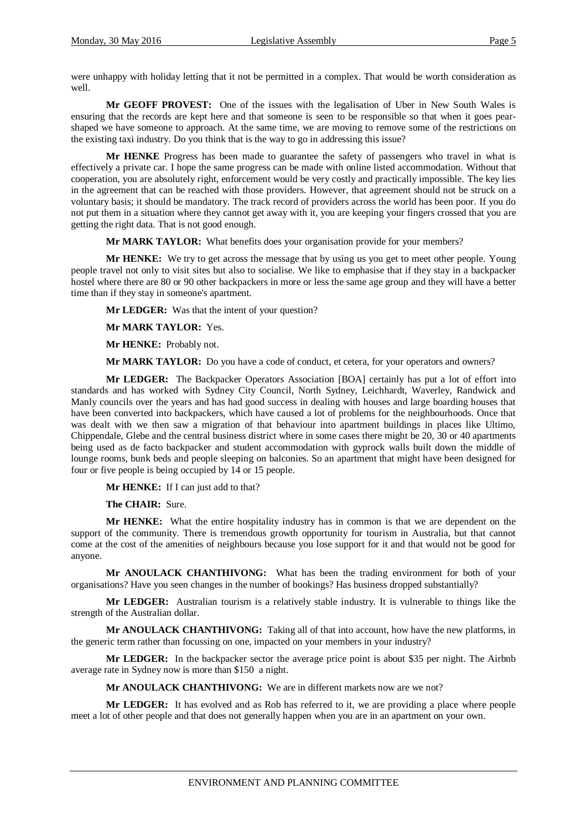were unhappy with holiday letting that it not be permitted in a complex. That would be worth consideration as well.

**Mr GEOFF PROVEST:** One of the issues with the legalisation of Uber in New South Wales is ensuring that the records are kept here and that someone is seen to be responsible so that when it goes pearshaped we have someone to approach. At the same time, we are moving to remove some of the restrictions on the existing taxi industry. Do you think that is the way to go in addressing this issue?

**Mr HENKE** Progress has been made to guarantee the safety of passengers who travel in what is effectively a private car. I hope the same progress can be made with online listed accommodation. Without that cooperation, you are absolutely right, enforcement would be very costly and practically impossible. The key lies in the agreement that can be reached with those providers. However, that agreement should not be struck on a voluntary basis; it should be mandatory. The track record of providers across the world has been poor. If you do not put them in a situation where they cannot get away with it, you are keeping your fingers crossed that you are getting the right data. That is not good enough.

**Mr MARK TAYLOR:** What benefits does your organisation provide for your members?

**Mr HENKE:** We try to get across the message that by using us you get to meet other people. Young people travel not only to visit sites but also to socialise. We like to emphasise that if they stay in a backpacker hostel where there are 80 or 90 other backpackers in more or less the same age group and they will have a better time than if they stay in someone's apartment.

**Mr LEDGER:** Was that the intent of your question?

**Mr MARK TAYLOR:** Yes.

**Mr HENKE:** Probably not.

**Mr MARK TAYLOR:** Do you have a code of conduct, et cetera, for your operators and owners?

**Mr LEDGER:** The Backpacker Operators Association [BOA] certainly has put a lot of effort into standards and has worked with Sydney City Council, North Sydney, Leichhardt, Waverley, Randwick and Manly councils over the years and has had good success in dealing with houses and large boarding houses that have been converted into backpackers, which have caused a lot of problems for the neighbourhoods. Once that was dealt with we then saw a migration of that behaviour into apartment buildings in places like Ultimo, Chippendale, Glebe and the central business district where in some cases there might be 20, 30 or 40 apartments being used as de facto backpacker and student accommodation with gyprock walls built down the middle of lounge rooms, bunk beds and people sleeping on balconies. So an apartment that might have been designed for four or five people is being occupied by 14 or 15 people.

**Mr HENKE:** If I can just add to that?

**The CHAIR:** Sure.

**Mr HENKE:** What the entire hospitality industry has in common is that we are dependent on the support of the community. There is tremendous growth opportunity for tourism in Australia, but that cannot come at the cost of the amenities of neighbours because you lose support for it and that would not be good for anyone.

**Mr ANOULACK CHANTHIVONG:** What has been the trading environment for both of your organisations? Have you seen changes in the number of bookings? Has business dropped substantially?

**Mr LEDGER:** Australian tourism is a relatively stable industry. It is vulnerable to things like the strength of the Australian dollar.

**Mr ANOULACK CHANTHIVONG:** Taking all of that into account, how have the new platforms, in the generic term rather than focussing on one, impacted on your members in your industry?

**Mr LEDGER:** In the backpacker sector the average price point is about \$35 per night. The Airbnb average rate in Sydney now is more than \$150 a night.

**Mr ANOULACK CHANTHIVONG:** We are in different markets now are we not?

**Mr LEDGER:** It has evolved and as Rob has referred to it, we are providing a place where people meet a lot of other people and that does not generally happen when you are in an apartment on your own.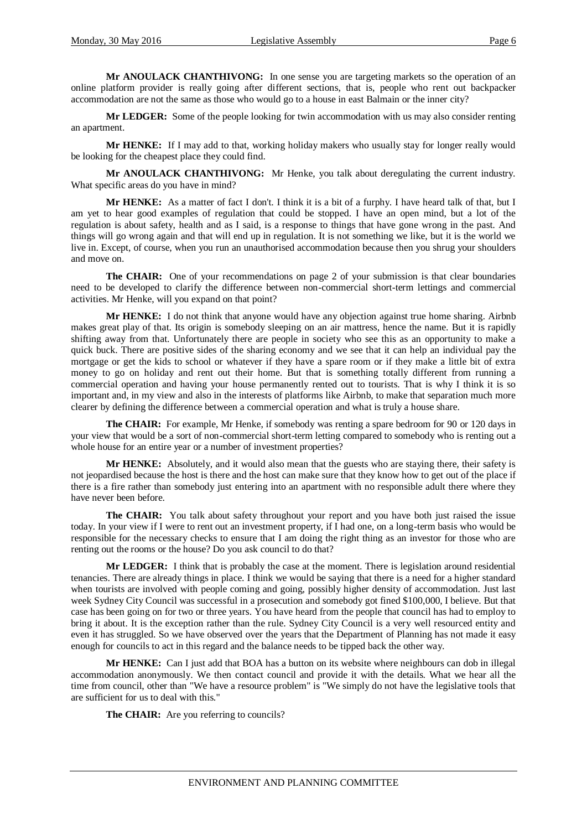**Mr ANOULACK CHANTHIVONG:** In one sense you are targeting markets so the operation of an online platform provider is really going after different sections, that is, people who rent out backpacker accommodation are not the same as those who would go to a house in east Balmain or the inner city?

**Mr LEDGER:** Some of the people looking for twin accommodation with us may also consider renting an apartment.

**Mr HENKE:** If I may add to that, working holiday makers who usually stay for longer really would be looking for the cheapest place they could find.

**Mr ANOULACK CHANTHIVONG:** Mr Henke, you talk about deregulating the current industry. What specific areas do you have in mind?

**Mr HENKE:** As a matter of fact I don't. I think it is a bit of a furphy. I have heard talk of that, but I am yet to hear good examples of regulation that could be stopped. I have an open mind, but a lot of the regulation is about safety, health and as I said, is a response to things that have gone wrong in the past. And things will go wrong again and that will end up in regulation. It is not something we like, but it is the world we live in. Except, of course, when you run an unauthorised accommodation because then you shrug your shoulders and move on.

**The CHAIR:** One of your recommendations on page 2 of your submission is that clear boundaries need to be developed to clarify the difference between non-commercial short-term lettings and commercial activities. Mr Henke, will you expand on that point?

**Mr HENKE:** I do not think that anyone would have any objection against true home sharing. Airbnb makes great play of that. Its origin is somebody sleeping on an air mattress, hence the name. But it is rapidly shifting away from that. Unfortunately there are people in society who see this as an opportunity to make a quick buck. There are positive sides of the sharing economy and we see that it can help an individual pay the mortgage or get the kids to school or whatever if they have a spare room or if they make a little bit of extra money to go on holiday and rent out their home. But that is something totally different from running a commercial operation and having your house permanently rented out to tourists. That is why I think it is so important and, in my view and also in the interests of platforms like Airbnb, to make that separation much more clearer by defining the difference between a commercial operation and what is truly a house share.

**The CHAIR:** For example, Mr Henke, if somebody was renting a spare bedroom for 90 or 120 days in your view that would be a sort of non-commercial short-term letting compared to somebody who is renting out a whole house for an entire year or a number of investment properties?

**Mr HENKE:** Absolutely, and it would also mean that the guests who are staying there, their safety is not jeopardised because the host is there and the host can make sure that they know how to get out of the place if there is a fire rather than somebody just entering into an apartment with no responsible adult there where they have never been before.

**The CHAIR:** You talk about safety throughout your report and you have both just raised the issue today. In your view if I were to rent out an investment property, if I had one, on a long-term basis who would be responsible for the necessary checks to ensure that I am doing the right thing as an investor for those who are renting out the rooms or the house? Do you ask council to do that?

**Mr LEDGER:** I think that is probably the case at the moment. There is legislation around residential tenancies. There are already things in place. I think we would be saying that there is a need for a higher standard when tourists are involved with people coming and going, possibly higher density of accommodation. Just last week Sydney City Council was successful in a prosecution and somebody got fined \$100,000, I believe. But that case has been going on for two or three years. You have heard from the people that council has had to employ to bring it about. It is the exception rather than the rule. Sydney City Council is a very well resourced entity and even it has struggled. So we have observed over the years that the Department of Planning has not made it easy enough for councils to act in this regard and the balance needs to be tipped back the other way.

**Mr HENKE:** Can I just add that BOA has a button on its website where neighbours can dob in illegal accommodation anonymously. We then contact council and provide it with the details. What we hear all the time from council, other than "We have a resource problem" is "We simply do not have the legislative tools that are sufficient for us to deal with this."

The CHAIR: Are you referring to councils?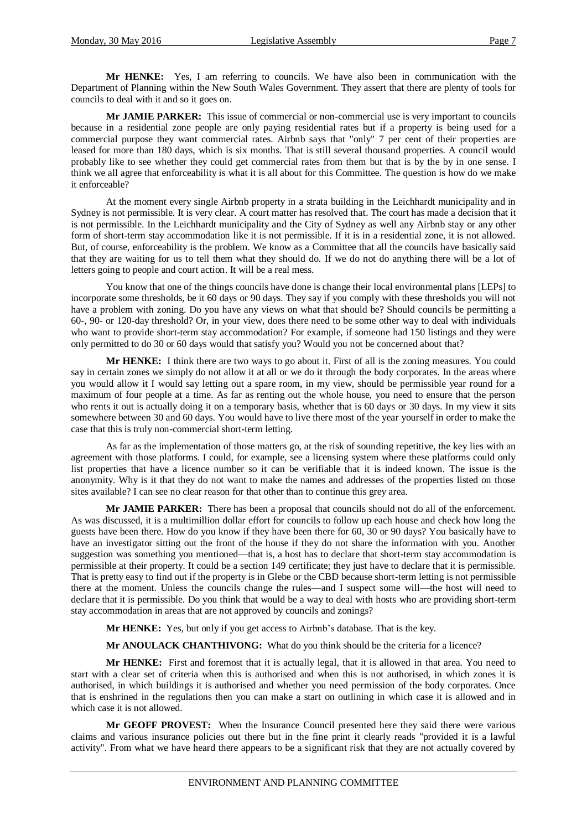**Mr HENKE:** Yes, I am referring to councils. We have also been in communication with the Department of Planning within the New South Wales Government. They assert that there are plenty of tools for councils to deal with it and so it goes on.

**Mr JAMIE PARKER:** This issue of commercial or non-commercial use is very important to councils because in a residential zone people are only paying residential rates but if a property is being used for a commercial purpose they want commercial rates. Airbnb says that "only" 7 per cent of their properties are leased for more than 180 days, which is six months. That is still several thousand properties. A council would probably like to see whether they could get commercial rates from them but that is by the by in one sense. I think we all agree that enforceability is what it is all about for this Committee. The question is how do we make it enforceable?

At the moment every single Airbnb property in a strata building in the Leichhardt municipality and in Sydney is not permissible. It is very clear. A court matter has resolved that. The court has made a decision that it is not permissible. In the Leichhardt municipality and the City of Sydney as well any Airbnb stay or any other form of short-term stay accommodation like it is not permissible. If it is in a residential zone, it is not allowed. But, of course, enforceability is the problem. We know as a Committee that all the councils have basically said that they are waiting for us to tell them what they should do. If we do not do anything there will be a lot of letters going to people and court action. It will be a real mess.

You know that one of the things councils have done is change their local environmental plans [LEPs] to incorporate some thresholds, be it 60 days or 90 days. They say if you comply with these thresholds you will not have a problem with zoning. Do you have any views on what that should be? Should councils be permitting a 60-, 90- or 120-day threshold? Or, in your view, does there need to be some other way to deal with individuals who want to provide short-term stay accommodation? For example, if someone had 150 listings and they were only permitted to do 30 or 60 days would that satisfy you? Would you not be concerned about that?

**Mr HENKE:** I think there are two ways to go about it. First of all is the zoning measures. You could say in certain zones we simply do not allow it at all or we do it through the body corporates. In the areas where you would allow it I would say letting out a spare room, in my view, should be permissible year round for a maximum of four people at a time. As far as renting out the whole house, you need to ensure that the person who rents it out is actually doing it on a temporary basis, whether that is 60 days or 30 days. In my view it sits somewhere between 30 and 60 days. You would have to live there most of the year yourself in order to make the case that this is truly non-commercial short-term letting.

As far as the implementation of those matters go, at the risk of sounding repetitive, the key lies with an agreement with those platforms. I could, for example, see a licensing system where these platforms could only list properties that have a licence number so it can be verifiable that it is indeed known. The issue is the anonymity. Why is it that they do not want to make the names and addresses of the properties listed on those sites available? I can see no clear reason for that other than to continue this grey area.

**Mr JAMIE PARKER:** There has been a proposal that councils should not do all of the enforcement. As was discussed, it is a multimillion dollar effort for councils to follow up each house and check how long the guests have been there. How do you know if they have been there for 60, 30 or 90 days? You basically have to have an investigator sitting out the front of the house if they do not share the information with you. Another suggestion was something you mentioned—that is, a host has to declare that short-term stay accommodation is permissible at their property. It could be a section 149 certificate; they just have to declare that it is permissible. That is pretty easy to find out if the property is in Glebe or the CBD because short-term letting is not permissible there at the moment. Unless the councils change the rules—and I suspect some will—the host will need to declare that it is permissible. Do you think that would be a way to deal with hosts who are providing short-term stay accommodation in areas that are not approved by councils and zonings?

**Mr HENKE:** Yes, but only if you get access to Airbnb's database. That is the key.

**Mr ANOULACK CHANTHIVONG:** What do you think should be the criteria for a licence?

**Mr HENKE:** First and foremost that it is actually legal, that it is allowed in that area. You need to start with a clear set of criteria when this is authorised and when this is not authorised, in which zones it is authorised, in which buildings it is authorised and whether you need permission of the body corporates. Once that is enshrined in the regulations then you can make a start on outlining in which case it is allowed and in which case it is not allowed.

**Mr GEOFF PROVEST:** When the Insurance Council presented here they said there were various claims and various insurance policies out there but in the fine print it clearly reads "provided it is a lawful activity". From what we have heard there appears to be a significant risk that they are not actually covered by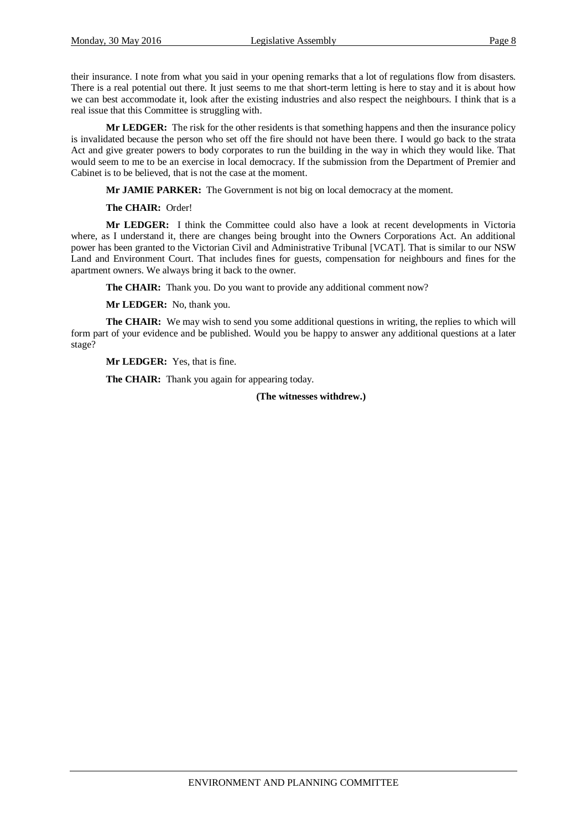their insurance. I note from what you said in your opening remarks that a lot of regulations flow from disasters. There is a real potential out there. It just seems to me that short-term letting is here to stay and it is about how we can best accommodate it, look after the existing industries and also respect the neighbours. I think that is a real issue that this Committee is struggling with.

**Mr LEDGER:** The risk for the other residents is that something happens and then the insurance policy is invalidated because the person who set off the fire should not have been there. I would go back to the strata Act and give greater powers to body corporates to run the building in the way in which they would like. That would seem to me to be an exercise in local democracy. If the submission from the Department of Premier and Cabinet is to be believed, that is not the case at the moment.

**Mr JAMIE PARKER:** The Government is not big on local democracy at the moment.

**The CHAIR:** Order!

**Mr LEDGER:** I think the Committee could also have a look at recent developments in Victoria where, as I understand it, there are changes being brought into the Owners Corporations Act. An additional power has been granted to the Victorian Civil and Administrative Tribunal [VCAT]. That is similar to our NSW Land and Environment Court. That includes fines for guests, compensation for neighbours and fines for the apartment owners. We always bring it back to the owner.

**The CHAIR:** Thank you. Do you want to provide any additional comment now?

**Mr LEDGER:** No, thank you.

The CHAIR: We may wish to send you some additional questions in writing, the replies to which will form part of your evidence and be published. Would you be happy to answer any additional questions at a later stage?

**Mr LEDGER:** Yes, that is fine.

The CHAIR: Thank you again for appearing today.

**(The witnesses withdrew.)**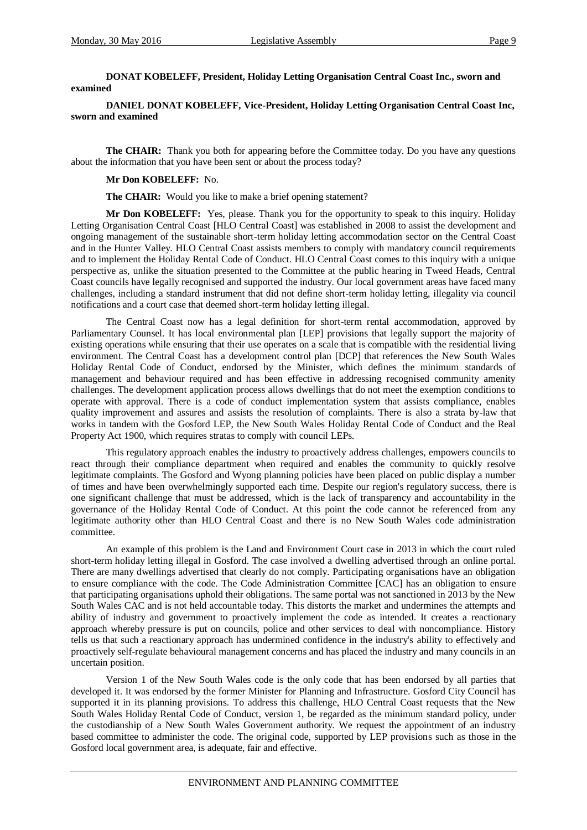## **DONAT KOBELEFF, President, Holiday Letting Organisation Central Coast Inc., sworn and examined**

**DANIEL DONAT KOBELEFF, Vice-President, Holiday Letting Organisation Central Coast Inc, sworn and examined**

**The CHAIR:** Thank you both for appearing before the Committee today. Do you have any questions about the information that you have been sent or about the process today?

#### **Mr Don KOBELEFF:** No.

**The CHAIR:** Would you like to make a brief opening statement?

**Mr Don KOBELEFF:** Yes, please. Thank you for the opportunity to speak to this inquiry. Holiday Letting Organisation Central Coast [HLO Central Coast] was established in 2008 to assist the development and ongoing management of the sustainable short-term holiday letting accommodation sector on the Central Coast and in the Hunter Valley. HLO Central Coast assists members to comply with mandatory council requirements and to implement the Holiday Rental Code of Conduct. HLO Central Coast comes to this inquiry with a unique perspective as, unlike the situation presented to the Committee at the public hearing in Tweed Heads, Central Coast councils have legally recognised and supported the industry. Our local government areas have faced many challenges, including a standard instrument that did not define short-term holiday letting, illegality via council notifications and a court case that deemed short-term holiday letting illegal.

The Central Coast now has a legal definition for short-term rental accommodation, approved by Parliamentary Counsel. It has local environmental plan [LEP] provisions that legally support the majority of existing operations while ensuring that their use operates on a scale that is compatible with the residential living environment. The Central Coast has a development control plan [DCP] that references the New South Wales Holiday Rental Code of Conduct, endorsed by the Minister, which defines the minimum standards of management and behaviour required and has been effective in addressing recognised community amenity challenges. The development application process allows dwellings that do not meet the exemption conditions to operate with approval. There is a code of conduct implementation system that assists compliance, enables quality improvement and assures and assists the resolution of complaints. There is also a strata by-law that works in tandem with the Gosford LEP, the New South Wales Holiday Rental Code of Conduct and the Real Property Act 1900, which requires stratas to comply with council LEPs.

This regulatory approach enables the industry to proactively address challenges, empowers councils to react through their compliance department when required and enables the community to quickly resolve legitimate complaints. The Gosford and Wyong planning policies have been placed on public display a number of times and have been overwhelmingly supported each time. Despite our region's regulatory success, there is one significant challenge that must be addressed, which is the lack of transparency and accountability in the governance of the Holiday Rental Code of Conduct. At this point the code cannot be referenced from any legitimate authority other than HLO Central Coast and there is no New South Wales code administration committee.

An example of this problem is the Land and Environment Court case in 2013 in which the court ruled short-term holiday letting illegal in Gosford. The case involved a dwelling advertised through an online portal. There are many dwellings advertised that clearly do not comply. Participating organisations have an obligation to ensure compliance with the code. The Code Administration Committee [CAC] has an obligation to ensure that participating organisations uphold their obligations. The same portal was not sanctioned in 2013 by the New South Wales CAC and is not held accountable today. This distorts the market and undermines the attempts and ability of industry and government to proactively implement the code as intended. It creates a reactionary approach whereby pressure is put on councils, police and other services to deal with noncompliance. History tells us that such a reactionary approach has undermined confidence in the industry's ability to effectively and proactively self-regulate behavioural management concerns and has placed the industry and many councils in an uncertain position.

Version 1 of the New South Wales code is the only code that has been endorsed by all parties that developed it. It was endorsed by the former Minister for Planning and Infrastructure. Gosford City Council has supported it in its planning provisions. To address this challenge, HLO Central Coast requests that the New South Wales Holiday Rental Code of Conduct, version 1, be regarded as the minimum standard policy, under the custodianship of a New South Wales Government authority. We request the appointment of an industry based committee to administer the code. The original code, supported by LEP provisions such as those in the Gosford local government area, is adequate, fair and effective.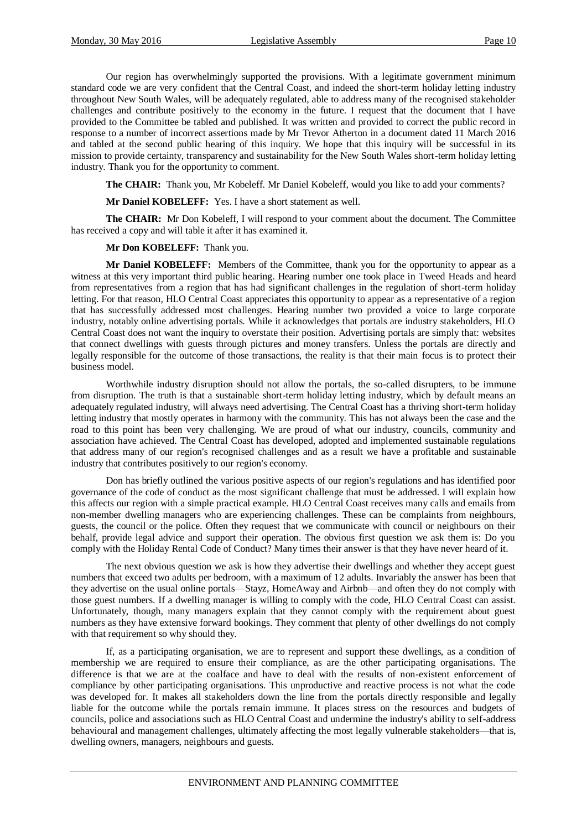Our region has overwhelmingly supported the provisions. With a legitimate government minimum standard code we are very confident that the Central Coast, and indeed the short-term holiday letting industry throughout New South Wales, will be adequately regulated, able to address many of the recognised stakeholder challenges and contribute positively to the economy in the future. I request that the document that I have provided to the Committee be tabled and published. It was written and provided to correct the public record in response to a number of incorrect assertions made by Mr Trevor Atherton in a document dated 11 March 2016 and tabled at the second public hearing of this inquiry. We hope that this inquiry will be successful in its mission to provide certainty, transparency and sustainability for the New South Wales short-term holiday letting industry. Thank you for the opportunity to comment.

**The CHAIR:** Thank you, Mr Kobeleff. Mr Daniel Kobeleff, would you like to add your comments?

**Mr Daniel KOBELEFF:** Yes. I have a short statement as well.

**The CHAIR:** Mr Don Kobeleff, I will respond to your comment about the document. The Committee has received a copy and will table it after it has examined it.

#### **Mr Don KOBELEFF:** Thank you.

**Mr Daniel KOBELEFF:** Members of the Committee, thank you for the opportunity to appear as a witness at this very important third public hearing. Hearing number one took place in Tweed Heads and heard from representatives from a region that has had significant challenges in the regulation of short-term holiday letting. For that reason, HLO Central Coast appreciates this opportunity to appear as a representative of a region that has successfully addressed most challenges. Hearing number two provided a voice to large corporate industry, notably online advertising portals. While it acknowledges that portals are industry stakeholders, HLO Central Coast does not want the inquiry to overstate their position. Advertising portals are simply that: websites that connect dwellings with guests through pictures and money transfers. Unless the portals are directly and legally responsible for the outcome of those transactions, the reality is that their main focus is to protect their business model.

Worthwhile industry disruption should not allow the portals, the so-called disrupters, to be immune from disruption. The truth is that a sustainable short-term holiday letting industry, which by default means an adequately regulated industry, will always need advertising. The Central Coast has a thriving short-term holiday letting industry that mostly operates in harmony with the community. This has not always been the case and the road to this point has been very challenging. We are proud of what our industry, councils, community and association have achieved. The Central Coast has developed, adopted and implemented sustainable regulations that address many of our region's recognised challenges and as a result we have a profitable and sustainable industry that contributes positively to our region's economy.

Don has briefly outlined the various positive aspects of our region's regulations and has identified poor governance of the code of conduct as the most significant challenge that must be addressed. I will explain how this affects our region with a simple practical example. HLO Central Coast receives many calls and emails from non-member dwelling managers who are experiencing challenges. These can be complaints from neighbours, guests, the council or the police. Often they request that we communicate with council or neighbours on their behalf, provide legal advice and support their operation. The obvious first question we ask them is: Do you comply with the Holiday Rental Code of Conduct? Many times their answer is that they have never heard of it.

The next obvious question we ask is how they advertise their dwellings and whether they accept guest numbers that exceed two adults per bedroom, with a maximum of 12 adults. Invariably the answer has been that they advertise on the usual online portals—Stayz, HomeAway and Airbnb—and often they do not comply with those guest numbers. If a dwelling manager is willing to comply with the code, HLO Central Coast can assist. Unfortunately, though, many managers explain that they cannot comply with the requirement about guest numbers as they have extensive forward bookings. They comment that plenty of other dwellings do not comply with that requirement so why should they.

If, as a participating organisation, we are to represent and support these dwellings, as a condition of membership we are required to ensure their compliance, as are the other participating organisations. The difference is that we are at the coalface and have to deal with the results of non-existent enforcement of compliance by other participating organisations. This unproductive and reactive process is not what the code was developed for. It makes all stakeholders down the line from the portals directly responsible and legally liable for the outcome while the portals remain immune. It places stress on the resources and budgets of councils, police and associations such as HLO Central Coast and undermine the industry's ability to self-address behavioural and management challenges, ultimately affecting the most legally vulnerable stakeholders—that is, dwelling owners, managers, neighbours and guests.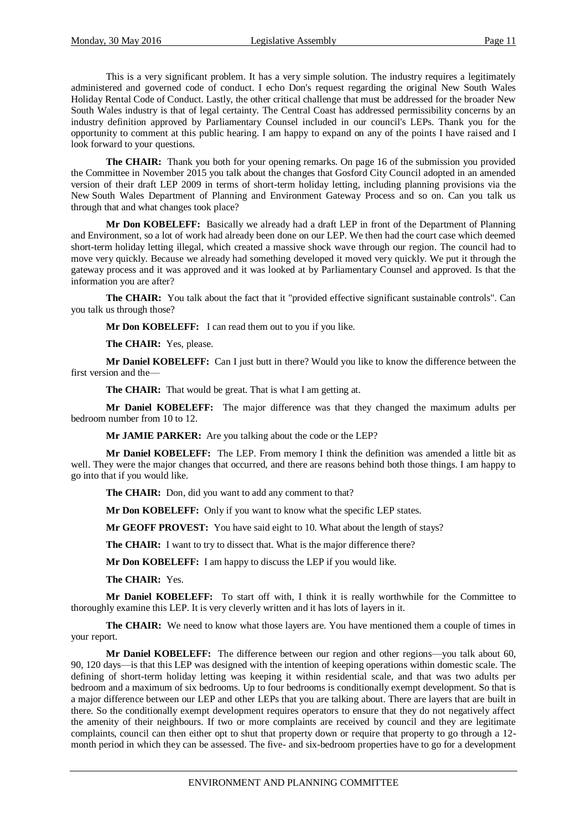This is a very significant problem. It has a very simple solution. The industry requires a legitimately administered and governed code of conduct. I echo Don's request regarding the original New South Wales Holiday Rental Code of Conduct. Lastly, the other critical challenge that must be addressed for the broader New South Wales industry is that of legal certainty. The Central Coast has addressed permissibility concerns by an industry definition approved by Parliamentary Counsel included in our council's LEPs. Thank you for the opportunity to comment at this public hearing. I am happy to expand on any of the points I have raised and I look forward to your questions.

**The CHAIR:** Thank you both for your opening remarks. On page 16 of the submission you provided the Committee in November 2015 you talk about the changes that Gosford City Council adopted in an amended version of their draft LEP 2009 in terms of short-term holiday letting, including planning provisions via the New South Wales Department of Planning and Environment Gateway Process and so on. Can you talk us through that and what changes took place?

**Mr Don KOBELEFF:** Basically we already had a draft LEP in front of the Department of Planning and Environment, so a lot of work had already been done on our LEP. We then had the court case which deemed short-term holiday letting illegal, which created a massive shock wave through our region. The council had to move very quickly. Because we already had something developed it moved very quickly. We put it through the gateway process and it was approved and it was looked at by Parliamentary Counsel and approved. Is that the information you are after?

**The CHAIR:** You talk about the fact that it "provided effective significant sustainable controls". Can you talk us through those?

**Mr Don KOBELEFF:** I can read them out to you if you like.

**The CHAIR:** Yes, please.

**Mr Daniel KOBELEFF:** Can I just butt in there? Would you like to know the difference between the first version and the—

**The CHAIR:** That would be great. That is what I am getting at.

**Mr Daniel KOBELEFF:** The major difference was that they changed the maximum adults per bedroom number from 10 to 12.

**Mr JAMIE PARKER:** Are you talking about the code or the LEP?

**Mr Daniel KOBELEFF:** The LEP. From memory I think the definition was amended a little bit as well. They were the major changes that occurred, and there are reasons behind both those things. I am happy to go into that if you would like.

**The CHAIR:** Don, did you want to add any comment to that?

**Mr Don KOBELEFF:** Only if you want to know what the specific LEP states.

**Mr GEOFF PROVEST:** You have said eight to 10. What about the length of stays?

**The CHAIR:** I want to try to dissect that. What is the major difference there?

**Mr Don KOBELEFF:** I am happy to discuss the LEP if you would like.

**The CHAIR:** Yes.

**Mr Daniel KOBELEFF:** To start off with, I think it is really worthwhile for the Committee to thoroughly examine this LEP. It is very cleverly written and it has lots of layers in it.

**The CHAIR:** We need to know what those layers are. You have mentioned them a couple of times in your report.

**Mr Daniel KOBELEFF:** The difference between our region and other regions—you talk about 60, 90, 120 days—is that this LEP was designed with the intention of keeping operations within domestic scale. The defining of short-term holiday letting was keeping it within residential scale, and that was two adults per bedroom and a maximum of six bedrooms. Up to four bedrooms is conditionally exempt development. So that is a major difference between our LEP and other LEPs that you are talking about. There are layers that are built in there. So the conditionally exempt development requires operators to ensure that they do not negatively affect the amenity of their neighbours. If two or more complaints are received by council and they are legitimate complaints, council can then either opt to shut that property down or require that property to go through a 12 month period in which they can be assessed. The five- and six-bedroom properties have to go for a development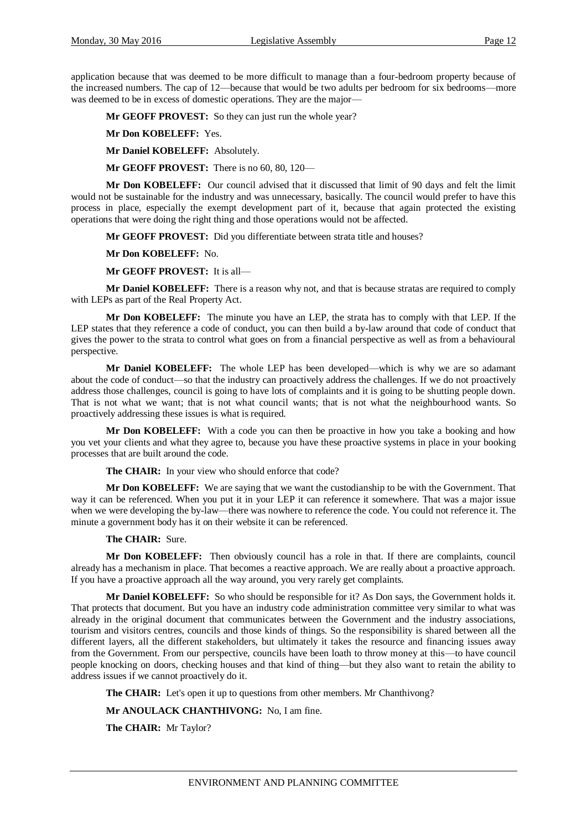application because that was deemed to be more difficult to manage than a four-bedroom property because of the increased numbers. The cap of 12—because that would be two adults per bedroom for six bedrooms—more was deemed to be in excess of domestic operations. They are the major—

**Mr GEOFF PROVEST:** So they can just run the whole year?

**Mr Don KOBELEFF:** Yes.

**Mr Daniel KOBELEFF:** Absolutely.

**Mr GEOFF PROVEST:** There is no 60, 80, 120—

**Mr Don KOBELEFF:** Our council advised that it discussed that limit of 90 days and felt the limit would not be sustainable for the industry and was unnecessary, basically. The council would prefer to have this process in place, especially the exempt development part of it, because that again protected the existing operations that were doing the right thing and those operations would not be affected.

**Mr GEOFF PROVEST:** Did you differentiate between strata title and houses?

**Mr Don KOBELEFF:** No.

**Mr GEOFF PROVEST:** It is all—

**Mr Daniel KOBELEFF:** There is a reason why not, and that is because stratas are required to comply with LEPs as part of the Real Property Act.

**Mr Don KOBELEFF:** The minute you have an LEP, the strata has to comply with that LEP. If the LEP states that they reference a code of conduct, you can then build a by-law around that code of conduct that gives the power to the strata to control what goes on from a financial perspective as well as from a behavioural perspective.

**Mr Daniel KOBELEFF:** The whole LEP has been developed—which is why we are so adamant about the code of conduct—so that the industry can proactively address the challenges. If we do not proactively address those challenges, council is going to have lots of complaints and it is going to be shutting people down. That is not what we want; that is not what council wants; that is not what the neighbourhood wants. So proactively addressing these issues is what is required.

**Mr Don KOBELEFF:** With a code you can then be proactive in how you take a booking and how you vet your clients and what they agree to, because you have these proactive systems in place in your booking processes that are built around the code.

**The CHAIR:** In your view who should enforce that code?

**Mr Don KOBELEFF:** We are saying that we want the custodianship to be with the Government. That way it can be referenced. When you put it in your LEP it can reference it somewhere. That was a major issue when we were developing the by-law—there was nowhere to reference the code. You could not reference it. The minute a government body has it on their website it can be referenced.

#### **The CHAIR:** Sure.

**Mr Don KOBELEFF:** Then obviously council has a role in that. If there are complaints, council already has a mechanism in place. That becomes a reactive approach. We are really about a proactive approach. If you have a proactive approach all the way around, you very rarely get complaints.

**Mr Daniel KOBELEFF:** So who should be responsible for it? As Don says, the Government holds it. That protects that document. But you have an industry code administration committee very similar to what was already in the original document that communicates between the Government and the industry associations, tourism and visitors centres, councils and those kinds of things. So the responsibility is shared between all the different layers, all the different stakeholders, but ultimately it takes the resource and financing issues away from the Government. From our perspective, councils have been loath to throw money at this—to have council people knocking on doors, checking houses and that kind of thing—but they also want to retain the ability to address issues if we cannot proactively do it.

**The CHAIR:** Let's open it up to questions from other members. Mr Chanthivong?

**Mr ANOULACK CHANTHIVONG:** No, I am fine.

**The CHAIR:** Mr Taylor?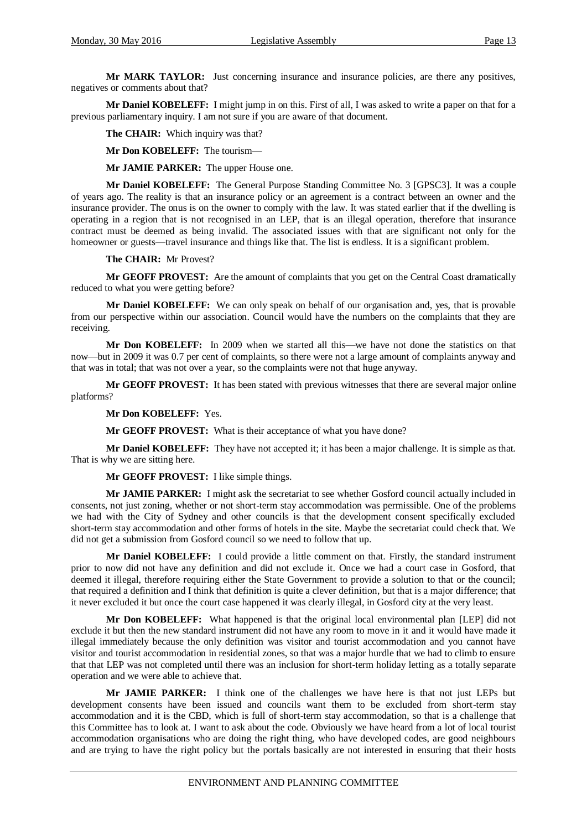**Mr MARK TAYLOR:** Just concerning insurance and insurance policies, are there any positives, negatives or comments about that?

**Mr Daniel KOBELEFF:** I might jump in on this. First of all, I was asked to write a paper on that for a previous parliamentary inquiry. I am not sure if you are aware of that document.

**The CHAIR:** Which inquiry was that?

**Mr Don KOBELEFF:** The tourism—

**Mr JAMIE PARKER:** The upper House one.

**Mr Daniel KOBELEFF:** The General Purpose Standing Committee No. 3 [GPSC3]. It was a couple of years ago. The reality is that an insurance policy or an agreement is a contract between an owner and the insurance provider. The onus is on the owner to comply with the law. It was stated earlier that if the dwelling is operating in a region that is not recognised in an LEP, that is an illegal operation, therefore that insurance contract must be deemed as being invalid. The associated issues with that are significant not only for the homeowner or guests—travel insurance and things like that. The list is endless. It is a significant problem.

**The CHAIR:** Mr Provest?

**Mr GEOFF PROVEST:** Are the amount of complaints that you get on the Central Coast dramatically reduced to what you were getting before?

**Mr Daniel KOBELEFF:** We can only speak on behalf of our organisation and, yes, that is provable from our perspective within our association. Council would have the numbers on the complaints that they are receiving.

**Mr Don KOBELEFF:** In 2009 when we started all this—we have not done the statistics on that now—but in 2009 it was 0.7 per cent of complaints, so there were not a large amount of complaints anyway and that was in total; that was not over a year, so the complaints were not that huge anyway.

**Mr GEOFF PROVEST:** It has been stated with previous witnesses that there are several major online platforms?

**Mr Don KOBELEFF:** Yes.

**Mr GEOFF PROVEST:** What is their acceptance of what you have done?

**Mr Daniel KOBELEFF:** They have not accepted it; it has been a major challenge. It is simple as that. That is why we are sitting here.

**Mr GEOFF PROVEST:** I like simple things.

**Mr JAMIE PARKER:** I might ask the secretariat to see whether Gosford council actually included in consents, not just zoning, whether or not short-term stay accommodation was permissible. One of the problems we had with the City of Sydney and other councils is that the development consent specifically excluded short-term stay accommodation and other forms of hotels in the site. Maybe the secretariat could check that. We did not get a submission from Gosford council so we need to follow that up.

**Mr Daniel KOBELEFF:** I could provide a little comment on that. Firstly, the standard instrument prior to now did not have any definition and did not exclude it. Once we had a court case in Gosford, that deemed it illegal, therefore requiring either the State Government to provide a solution to that or the council; that required a definition and I think that definition is quite a clever definition, but that is a major difference; that it never excluded it but once the court case happened it was clearly illegal, in Gosford city at the very least.

**Mr Don KOBELEFF:** What happened is that the original local environmental plan [LEP] did not exclude it but then the new standard instrument did not have any room to move in it and it would have made it illegal immediately because the only definition was visitor and tourist accommodation and you cannot have visitor and tourist accommodation in residential zones, so that was a major hurdle that we had to climb to ensure that that LEP was not completed until there was an inclusion for short-term holiday letting as a totally separate operation and we were able to achieve that.

**Mr JAMIE PARKER:** I think one of the challenges we have here is that not just LEPs but development consents have been issued and councils want them to be excluded from short-term stay accommodation and it is the CBD, which is full of short-term stay accommodation, so that is a challenge that this Committee has to look at. I want to ask about the code. Obviously we have heard from a lot of local tourist accommodation organisations who are doing the right thing, who have developed codes, are good neighbours and are trying to have the right policy but the portals basically are not interested in ensuring that their hosts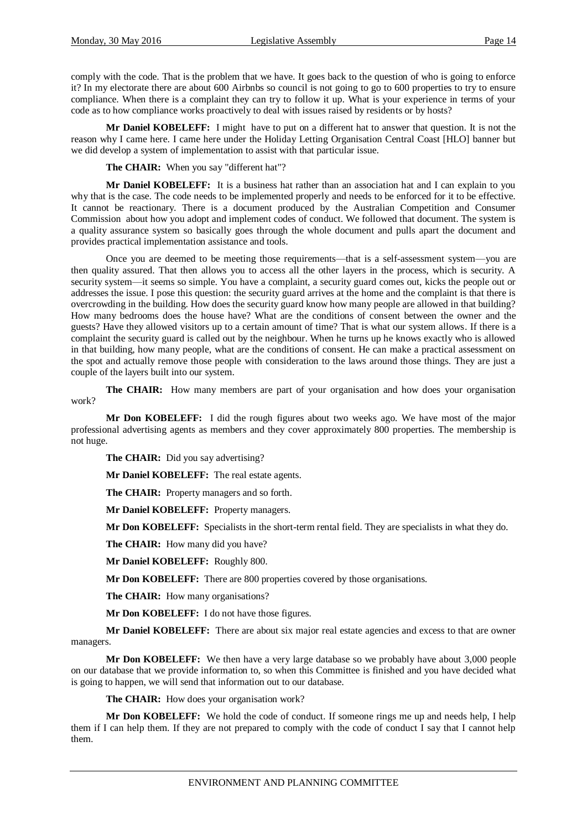comply with the code. That is the problem that we have. It goes back to the question of who is going to enforce it? In my electorate there are about 600 Airbnbs so council is not going to go to 600 properties to try to ensure compliance. When there is a complaint they can try to follow it up. What is your experience in terms of your code as to how compliance works proactively to deal with issues raised by residents or by hosts?

**Mr Daniel KOBELEFF:** I might have to put on a different hat to answer that question. It is not the reason why I came here. I came here under the Holiday Letting Organisation Central Coast [HLO] banner but we did develop a system of implementation to assist with that particular issue.

**The CHAIR:** When you say "different hat"?

**Mr Daniel KOBELEFF:** It is a business hat rather than an association hat and I can explain to you why that is the case. The code needs to be implemented properly and needs to be enforced for it to be effective. It cannot be reactionary. There is a document produced by the Australian Competition and Consumer Commission about how you adopt and implement codes of conduct. We followed that document. The system is a quality assurance system so basically goes through the whole document and pulls apart the document and provides practical implementation assistance and tools.

Once you are deemed to be meeting those requirements—that is a self-assessment system—you are then quality assured. That then allows you to access all the other layers in the process, which is security. A security system—it seems so simple. You have a complaint, a security guard comes out, kicks the people out or addresses the issue. I pose this question: the security guard arrives at the home and the complaint is that there is overcrowding in the building. How does the security guard know how many people are allowed in that building? How many bedrooms does the house have? What are the conditions of consent between the owner and the guests? Have they allowed visitors up to a certain amount of time? That is what our system allows. If there is a complaint the security guard is called out by the neighbour. When he turns up he knows exactly who is allowed in that building, how many people, what are the conditions of consent. He can make a practical assessment on the spot and actually remove those people with consideration to the laws around those things. They are just a couple of the layers built into our system.

**The CHAIR:** How many members are part of your organisation and how does your organisation work?

**Mr Don KOBELEFF:** I did the rough figures about two weeks ago. We have most of the major professional advertising agents as members and they cover approximately 800 properties. The membership is not huge.

**The CHAIR:** Did you say advertising?

**Mr Daniel KOBELEFF:** The real estate agents.

**The CHAIR:** Property managers and so forth.

**Mr Daniel KOBELEFF:** Property managers.

**Mr Don KOBELEFF:** Specialists in the short-term rental field. They are specialists in what they do.

**The CHAIR:** How many did you have?

**Mr Daniel KOBELEFF:** Roughly 800.

**Mr Don KOBELEFF:** There are 800 properties covered by those organisations.

**The CHAIR:** How many organisations?

**Mr Don KOBELEFF:** I do not have those figures.

**Mr Daniel KOBELEFF:** There are about six major real estate agencies and excess to that are owner managers.

**Mr Don KOBELEFF:** We then have a very large database so we probably have about 3,000 people on our database that we provide information to, so when this Committee is finished and you have decided what is going to happen, we will send that information out to our database.

**The CHAIR:** How does your organisation work?

**Mr Don KOBELEFF:** We hold the code of conduct. If someone rings me up and needs help, I help them if I can help them. If they are not prepared to comply with the code of conduct I say that I cannot help them.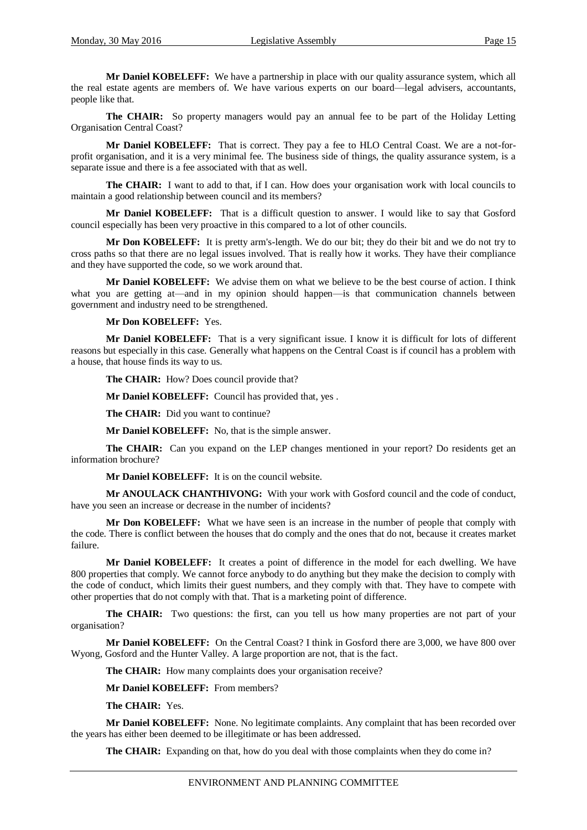**Mr Daniel KOBELEFF:** We have a partnership in place with our quality assurance system, which all the real estate agents are members of. We have various experts on our board—legal advisers, accountants, people like that.

**The CHAIR:** So property managers would pay an annual fee to be part of the Holiday Letting Organisation Central Coast?

**Mr Daniel KOBELEFF:** That is correct. They pay a fee to HLO Central Coast. We are a not-forprofit organisation, and it is a very minimal fee. The business side of things, the quality assurance system, is a separate issue and there is a fee associated with that as well.

**The CHAIR:** I want to add to that, if I can. How does your organisation work with local councils to maintain a good relationship between council and its members?

**Mr Daniel KOBELEFF:** That is a difficult question to answer. I would like to say that Gosford council especially has been very proactive in this compared to a lot of other councils.

**Mr Don KOBELEFF:** It is pretty arm's-length. We do our bit; they do their bit and we do not try to cross paths so that there are no legal issues involved. That is really how it works. They have their compliance and they have supported the code, so we work around that.

**Mr Daniel KOBELEFF:** We advise them on what we believe to be the best course of action. I think what you are getting at—and in my opinion should happen—is that communication channels between government and industry need to be strengthened.

### **Mr Don KOBELEFF:** Yes.

**Mr Daniel KOBELEFF:** That is a very significant issue. I know it is difficult for lots of different reasons but especially in this case. Generally what happens on the Central Coast is if council has a problem with a house, that house finds its way to us.

**The CHAIR:** How? Does council provide that?

**Mr Daniel KOBELEFF:** Council has provided that, yes .

**The CHAIR:** Did you want to continue?

**Mr Daniel KOBELEFF:** No, that is the simple answer.

**The CHAIR:** Can you expand on the LEP changes mentioned in your report? Do residents get an information brochure?

**Mr Daniel KOBELEFF:** It is on the council website.

**Mr ANOULACK CHANTHIVONG:** With your work with Gosford council and the code of conduct, have you seen an increase or decrease in the number of incidents?

**Mr Don KOBELEFF:** What we have seen is an increase in the number of people that comply with the code. There is conflict between the houses that do comply and the ones that do not, because it creates market failure.

**Mr Daniel KOBELEFF:** It creates a point of difference in the model for each dwelling. We have 800 properties that comply. We cannot force anybody to do anything but they make the decision to comply with the code of conduct, which limits their guest numbers, and they comply with that. They have to compete with other properties that do not comply with that. That is a marketing point of difference.

**The CHAIR:** Two questions: the first, can you tell us how many properties are not part of your organisation?

**Mr Daniel KOBELEFF:** On the Central Coast? I think in Gosford there are 3,000, we have 800 over Wyong, Gosford and the Hunter Valley. A large proportion are not, that is the fact.

**The CHAIR:** How many complaints does your organisation receive?

**Mr Daniel KOBELEFF:** From members?

**The CHAIR:** Yes.

**Mr Daniel KOBELEFF:** None. No legitimate complaints. Any complaint that has been recorded over the years has either been deemed to be illegitimate or has been addressed.

**The CHAIR:** Expanding on that, how do you deal with those complaints when they do come in?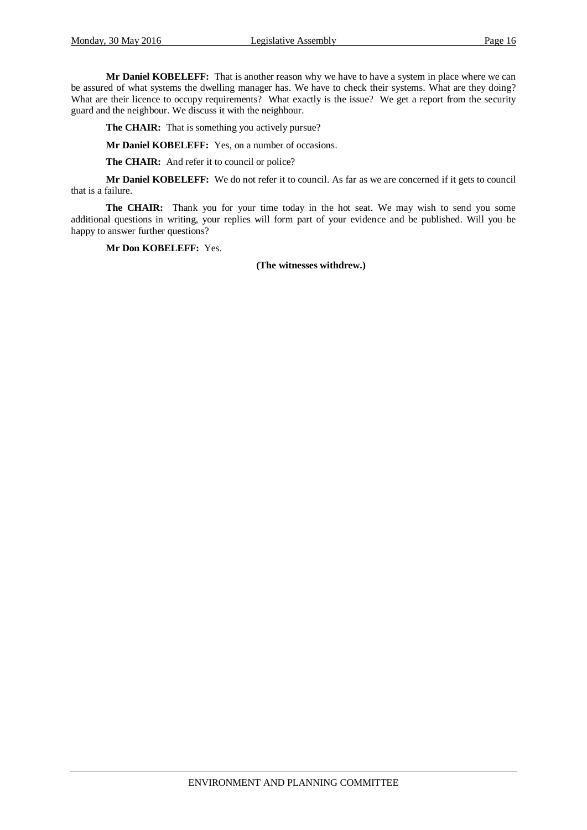**Mr Daniel KOBELEFF:** That is another reason why we have to have a system in place where we can be assured of what systems the dwelling manager has. We have to check their systems. What are they doing? What are their licence to occupy requirements? What exactly is the issue? We get a report from the security guard and the neighbour. We discuss it with the neighbour.

**The CHAIR:** That is something you actively pursue?

**Mr Daniel KOBELEFF:** Yes, on a number of occasions.

**The CHAIR:** And refer it to council or police?

**Mr Daniel KOBELEFF:** We do not refer it to council. As far as we are concerned if it gets to council that is a failure.

**The CHAIR:** Thank you for your time today in the hot seat. We may wish to send you some additional questions in writing, your replies will form part of your evidence and be published. Will you be happy to answer further questions?

**Mr Don KOBELEFF:** Yes.

**(The witnesses withdrew.)**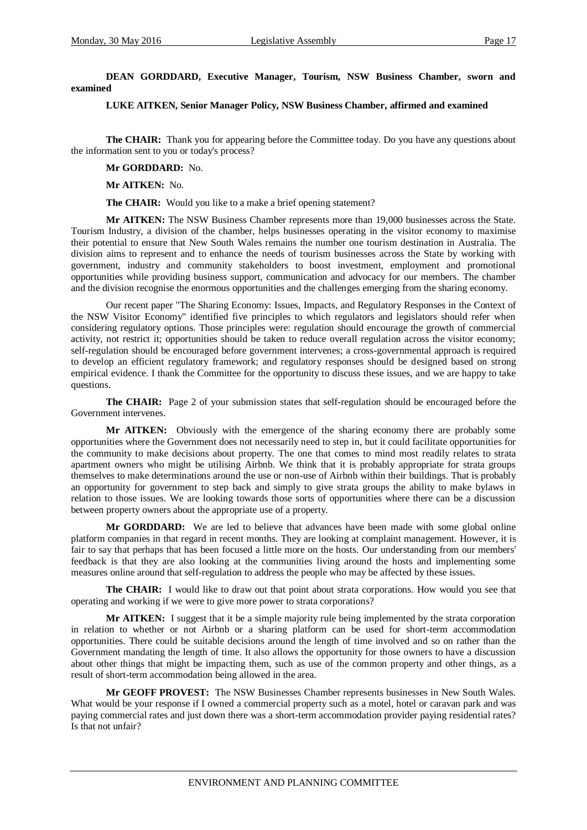**DEAN GORDDARD, Executive Manager, Tourism, NSW Business Chamber, sworn and examined**

**LUKE AITKEN, Senior Manager Policy, NSW Business Chamber, affirmed and examined**

**The CHAIR:** Thank you for appearing before the Committee today. Do you have any questions about the information sent to you or today's process?

**Mr GORDDARD:** No.

**Mr AITKEN:** No.

**The CHAIR:** Would you like to a make a brief opening statement?

**Mr AITKEN:** The NSW Business Chamber represents more than 19,000 businesses across the State. Tourism Industry, a division of the chamber, helps businesses operating in the visitor economy to maximise their potential to ensure that New South Wales remains the number one tourism destination in Australia. The division aims to represent and to enhance the needs of tourism businesses across the State by working with government, industry and community stakeholders to boost investment, employment and promotional opportunities while providing business support, communication and advocacy for our members. The chamber and the division recognise the enormous opportunities and the challenges emerging from the sharing economy.

Our recent paper "The Sharing Economy: Issues, Impacts, and Regulatory Responses in the Context of the NSW Visitor Economy" identified five principles to which regulators and legislators should refer when considering regulatory options. Those principles were: regulation should encourage the growth of commercial activity, not restrict it; opportunities should be taken to reduce overall regulation across the visitor economy; self-regulation should be encouraged before government intervenes; a cross-governmental approach is required to develop an efficient regulatory framework; and regulatory responses should be designed based on strong empirical evidence. I thank the Committee for the opportunity to discuss these issues, and we are happy to take questions.

**The CHAIR:** Page 2 of your submission states that self-regulation should be encouraged before the Government intervenes.

**Mr AITKEN:** Obviously with the emergence of the sharing economy there are probably some opportunities where the Government does not necessarily need to step in, but it could facilitate opportunities for the community to make decisions about property. The one that comes to mind most readily relates to strata apartment owners who might be utilising Airbnb. We think that it is probably appropriate for strata groups themselves to make determinations around the use or non-use of Airbnb within their buildings. That is probably an opportunity for government to step back and simply to give strata groups the ability to make bylaws in relation to those issues. We are looking towards those sorts of opportunities where there can be a discussion between property owners about the appropriate use of a property.

**Mr GORDDARD:** We are led to believe that advances have been made with some global online platform companies in that regard in recent months. They are looking at complaint management. However, it is fair to say that perhaps that has been focused a little more on the hosts. Our understanding from our members' feedback is that they are also looking at the communities living around the hosts and implementing some measures online around that self-regulation to address the people who may be affected by these issues.

**The CHAIR:** I would like to draw out that point about strata corporations. How would you see that operating and working if we were to give more power to strata corporations?

**Mr AITKEN:** I suggest that it be a simple majority rule being implemented by the strata corporation in relation to whether or not Airbnb or a sharing platform can be used for short-term accommodation opportunities. There could be suitable decisions around the length of time involved and so on rather than the Government mandating the length of time. It also allows the opportunity for those owners to have a discussion about other things that might be impacting them, such as use of the common property and other things, as a result of short-term accommodation being allowed in the area.

**Mr GEOFF PROVEST:** The NSW Businesses Chamber represents businesses in New South Wales. What would be your response if I owned a commercial property such as a motel, hotel or caravan park and was paying commercial rates and just down there was a short-term accommodation provider paying residential rates? Is that not unfair?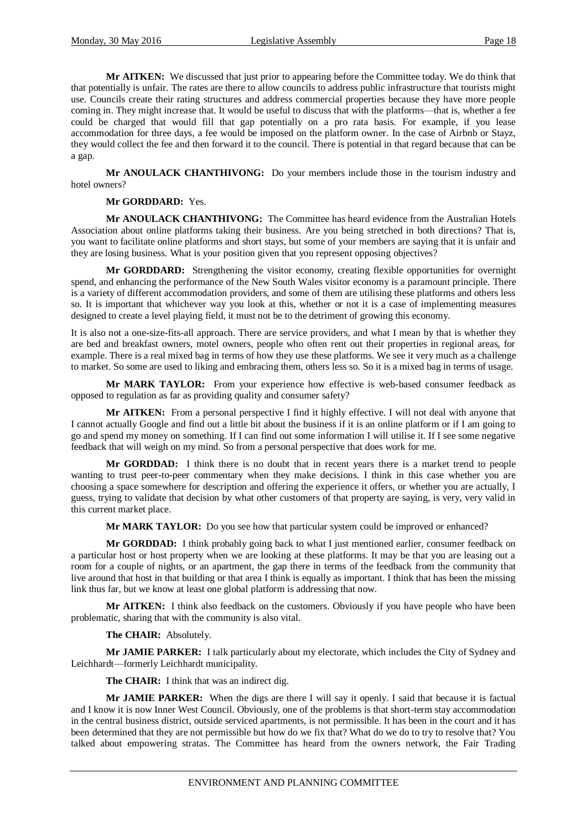**Mr AITKEN:** We discussed that just prior to appearing before the Committee today. We do think that that potentially is unfair. The rates are there to allow councils to address public infrastructure that tourists might use. Councils create their rating structures and address commercial properties because they have more people coming in. They might increase that. It would be useful to discuss that with the platforms—that is, whether a fee could be charged that would fill that gap potentially on a pro rata basis. For example, if you lease accommodation for three days, a fee would be imposed on the platform owner. In the case of Airbnb or Stayz, they would collect the fee and then forward it to the council. There is potential in that regard because that can be a gap.

**Mr ANOULACK CHANTHIVONG:** Do your members include those in the tourism industry and hotel owners?

#### **Mr GORDDARD:** Yes.

**Mr ANOULACK CHANTHIVONG:** The Committee has heard evidence from the Australian Hotels Association about online platforms taking their business. Are you being stretched in both directions? That is, you want to facilitate online platforms and short stays, but some of your members are saying that it is unfair and they are losing business. What is your position given that you represent opposing objectives?

**Mr GORDDARD:** Strengthening the visitor economy, creating flexible opportunities for overnight spend, and enhancing the performance of the New South Wales visitor economy is a paramount principle. There is a variety of different accommodation providers, and some of them are utilising these platforms and others less so. It is important that whichever way you look at this, whether or not it is a case of implementing measures designed to create a level playing field, it must not be to the detriment of growing this economy.

It is also not a one-size-fits-all approach. There are service providers, and what I mean by that is whether they are bed and breakfast owners, motel owners, people who often rent out their properties in regional areas, for example. There is a real mixed bag in terms of how they use these platforms. We see it very much as a challenge to market. So some are used to liking and embracing them, others less so. So it is a mixed bag in terms of usage.

**Mr MARK TAYLOR:** From your experience how effective is web-based consumer feedback as opposed to regulation as far as providing quality and consumer safety?

**Mr AITKEN:** From a personal perspective I find it highly effective. I will not deal with anyone that I cannot actually Google and find out a little bit about the business if it is an online platform or if I am going to go and spend my money on something. If I can find out some information I will utilise it. If I see some negative feedback that will weigh on my mind. So from a personal perspective that does work for me.

**Mr GORDDAD:** I think there is no doubt that in recent years there is a market trend to people wanting to trust peer-to-peer commentary when they make decisions. I think in this case whether you are choosing a space somewhere for description and offering the experience it offers, or whether you are actually, I guess, trying to validate that decision by what other customers of that property are saying, is very, very valid in this current market place.

**Mr MARK TAYLOR:** Do you see how that particular system could be improved or enhanced?

**Mr GORDDAD:** I think probably going back to what I just mentioned earlier, consumer feedback on a particular host or host property when we are looking at these platforms. It may be that you are leasing out a room for a couple of nights, or an apartment, the gap there in terms of the feedback from the community that live around that host in that building or that area I think is equally as important. I think that has been the missing link thus far, but we know at least one global platform is addressing that now.

**Mr AITKEN:** I think also feedback on the customers. Obviously if you have people who have been problematic, sharing that with the community is also vital.

**The CHAIR:** Absolutely.

**Mr JAMIE PARKER:** I talk particularly about my electorate, which includes the City of Sydney and Leichhardt—formerly Leichhardt municipality.

**The CHAIR:** I think that was an indirect dig.

**Mr JAMIE PARKER:** When the digs are there I will say it openly. I said that because it is factual and I know it is now Inner West Council. Obviously, one of the problems is that short-term stay accommodation in the central business district, outside serviced apartments, is not permissible. It has been in the court and it has been determined that they are not permissible but how do we fix that? What do we do to try to resolve that? You talked about empowering stratas. The Committee has heard from the owners network, the Fair Trading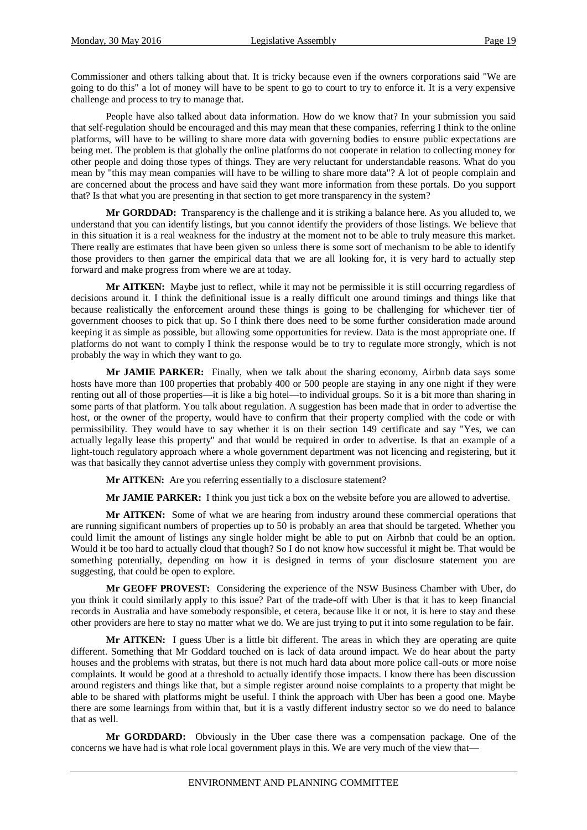Commissioner and others talking about that. It is tricky because even if the owners corporations said "We are going to do this" a lot of money will have to be spent to go to court to try to enforce it. It is a very expensive challenge and process to try to manage that.

People have also talked about data information. How do we know that? In your submission you said that self-regulation should be encouraged and this may mean that these companies, referring I think to the online platforms, will have to be willing to share more data with governing bodies to ensure public expectations are being met. The problem is that globally the online platforms do not cooperate in relation to collecting money for other people and doing those types of things. They are very reluctant for understandable reasons. What do you mean by "this may mean companies will have to be willing to share more data"? A lot of people complain and are concerned about the process and have said they want more information from these portals. Do you support that? Is that what you are presenting in that section to get more transparency in the system?

**Mr GORDDAD:** Transparency is the challenge and it is striking a balance here. As you alluded to, we understand that you can identify listings, but you cannot identify the providers of those listings. We believe that in this situation it is a real weakness for the industry at the moment not to be able to truly measure this market. There really are estimates that have been given so unless there is some sort of mechanism to be able to identify those providers to then garner the empirical data that we are all looking for, it is very hard to actually step forward and make progress from where we are at today.

**Mr AITKEN:** Maybe just to reflect, while it may not be permissible it is still occurring regardless of decisions around it. I think the definitional issue is a really difficult one around timings and things like that because realistically the enforcement around these things is going to be challenging for whichever tier of government chooses to pick that up. So I think there does need to be some further consideration made around keeping it as simple as possible, but allowing some opportunities for review. Data is the most appropriate one. If platforms do not want to comply I think the response would be to try to regulate more strongly, which is not probably the way in which they want to go.

**Mr JAMIE PARKER:** Finally, when we talk about the sharing economy, Airbnb data says some hosts have more than 100 properties that probably 400 or 500 people are staying in any one night if they were renting out all of those properties—it is like a big hotel—to individual groups. So it is a bit more than sharing in some parts of that platform. You talk about regulation. A suggestion has been made that in order to advertise the host, or the owner of the property, would have to confirm that their property complied with the code or with permissibility. They would have to say whether it is on their section 149 certificate and say "Yes, we can actually legally lease this property" and that would be required in order to advertise. Is that an example of a light-touch regulatory approach where a whole government department was not licencing and registering, but it was that basically they cannot advertise unless they comply with government provisions.

**Mr AITKEN:** Are you referring essentially to a disclosure statement?

**Mr JAMIE PARKER:** I think you just tick a box on the website before you are allowed to advertise.

**Mr AITKEN:** Some of what we are hearing from industry around these commercial operations that are running significant numbers of properties up to 50 is probably an area that should be targeted. Whether you could limit the amount of listings any single holder might be able to put on Airbnb that could be an option. Would it be too hard to actually cloud that though? So I do not know how successful it might be. That would be something potentially, depending on how it is designed in terms of your disclosure statement you are suggesting, that could be open to explore.

**Mr GEOFF PROVEST:** Considering the experience of the NSW Business Chamber with Uber, do you think it could similarly apply to this issue? Part of the trade-off with Uber is that it has to keep financial records in Australia and have somebody responsible, et cetera, because like it or not, it is here to stay and these other providers are here to stay no matter what we do. We are just trying to put it into some regulation to be fair.

**Mr AITKEN:** I guess Uber is a little bit different. The areas in which they are operating are quite different. Something that Mr Goddard touched on is lack of data around impact. We do hear about the party houses and the problems with stratas, but there is not much hard data about more police call-outs or more noise complaints. It would be good at a threshold to actually identify those impacts. I know there has been discussion around registers and things like that, but a simple register around noise complaints to a property that might be able to be shared with platforms might be useful. I think the approach with Uber has been a good one. Maybe there are some learnings from within that, but it is a vastly different industry sector so we do need to balance that as well.

**Mr GORDDARD:** Obviously in the Uber case there was a compensation package. One of the concerns we have had is what role local government plays in this. We are very much of the view that—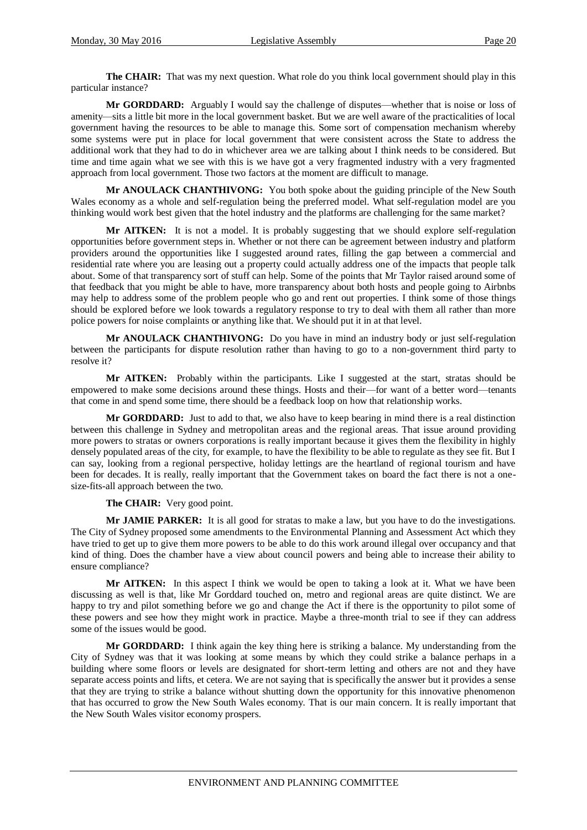**The CHAIR:** That was my next question. What role do you think local government should play in this particular instance?

**Mr GORDDARD:** Arguably I would say the challenge of disputes—whether that is noise or loss of amenity—sits a little bit more in the local government basket. But we are well aware of the practicalities of local government having the resources to be able to manage this. Some sort of compensation mechanism whereby some systems were put in place for local government that were consistent across the State to address the additional work that they had to do in whichever area we are talking about I think needs to be considered. But time and time again what we see with this is we have got a very fragmented industry with a very fragmented approach from local government. Those two factors at the moment are difficult to manage.

**Mr ANOULACK CHANTHIVONG:** You both spoke about the guiding principle of the New South Wales economy as a whole and self-regulation being the preferred model. What self-regulation model are you thinking would work best given that the hotel industry and the platforms are challenging for the same market?

**Mr AITKEN:** It is not a model. It is probably suggesting that we should explore self-regulation opportunities before government steps in. Whether or not there can be agreement between industry and platform providers around the opportunities like I suggested around rates, filling the gap between a commercial and residential rate where you are leasing out a property could actually address one of the impacts that people talk about. Some of that transparency sort of stuff can help. Some of the points that Mr Taylor raised around some of that feedback that you might be able to have, more transparency about both hosts and people going to Airbnbs may help to address some of the problem people who go and rent out properties. I think some of those things should be explored before we look towards a regulatory response to try to deal with them all rather than more police powers for noise complaints or anything like that. We should put it in at that level.

**Mr ANOULACK CHANTHIVONG:** Do you have in mind an industry body or just self-regulation between the participants for dispute resolution rather than having to go to a non-government third party to resolve it?

**Mr AITKEN:** Probably within the participants. Like I suggested at the start, stratas should be empowered to make some decisions around these things. Hosts and their—for want of a better word—tenants that come in and spend some time, there should be a feedback loop on how that relationship works.

**Mr GORDDARD:** Just to add to that, we also have to keep bearing in mind there is a real distinction between this challenge in Sydney and metropolitan areas and the regional areas. That issue around providing more powers to stratas or owners corporations is really important because it gives them the flexibility in highly densely populated areas of the city, for example, to have the flexibility to be able to regulate as they see fit. But I can say, looking from a regional perspective, holiday lettings are the heartland of regional tourism and have been for decades. It is really, really important that the Government takes on board the fact there is not a onesize-fits-all approach between the two.

**The CHAIR:** Very good point.

**Mr JAMIE PARKER:** It is all good for stratas to make a law, but you have to do the investigations. The City of Sydney proposed some amendments to the Environmental Planning and Assessment Act which they have tried to get up to give them more powers to be able to do this work around illegal over occupancy and that kind of thing. Does the chamber have a view about council powers and being able to increase their ability to ensure compliance?

**Mr AITKEN:** In this aspect I think we would be open to taking a look at it. What we have been discussing as well is that, like Mr Gorddard touched on, metro and regional areas are quite distinct. We are happy to try and pilot something before we go and change the Act if there is the opportunity to pilot some of these powers and see how they might work in practice. Maybe a three-month trial to see if they can address some of the issues would be good.

**Mr GORDDARD:** I think again the key thing here is striking a balance. My understanding from the City of Sydney was that it was looking at some means by which they could strike a balance perhaps in a building where some floors or levels are designated for short-term letting and others are not and they have separate access points and lifts, et cetera. We are not saying that is specifically the answer but it provides a sense that they are trying to strike a balance without shutting down the opportunity for this innovative phenomenon that has occurred to grow the New South Wales economy. That is our main concern. It is really important that the New South Wales visitor economy prospers.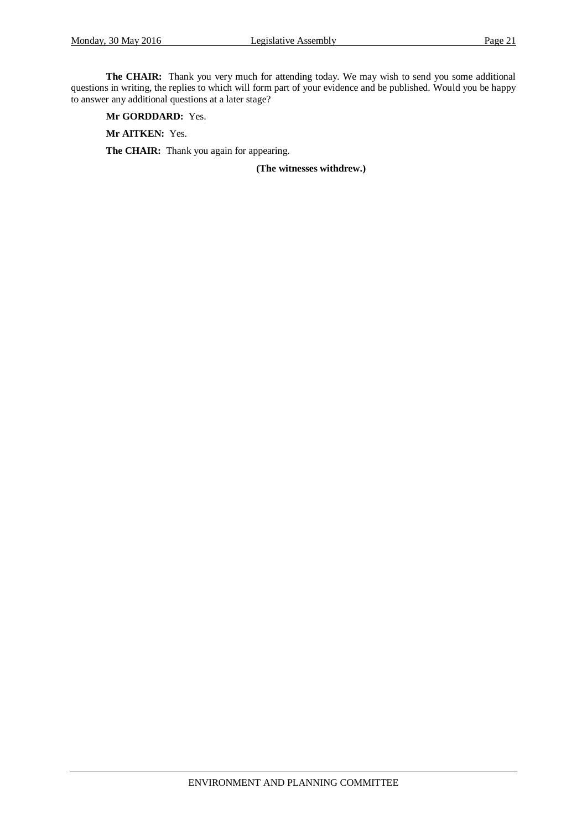**The CHAIR:** Thank you very much for attending today. We may wish to send you some additional questions in writing, the replies to which will form part of your evidence and be published. Would you be happy to answer any additional questions at a later stage?

**Mr GORDDARD:** Yes.

**Mr AITKEN:** Yes.

The CHAIR: Thank you again for appearing.

**(The witnesses withdrew.)**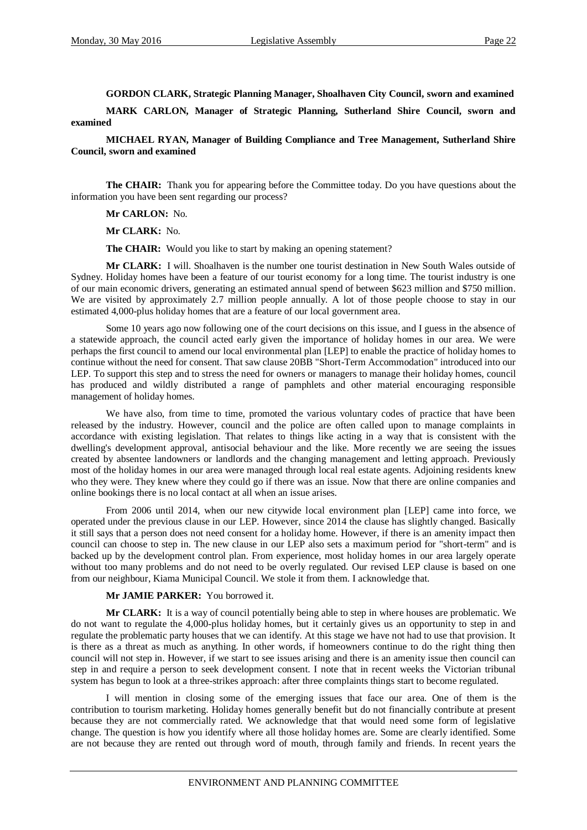**GORDON CLARK, Strategic Planning Manager, Shoalhaven City Council, sworn and examined**

**MARK CARLON, Manager of Strategic Planning, Sutherland Shire Council, sworn and examined**

**MICHAEL RYAN, Manager of Building Compliance and Tree Management, Sutherland Shire Council, sworn and examined**

**The CHAIR:** Thank you for appearing before the Committee today. Do you have questions about the information you have been sent regarding our process?

**Mr CARLON:** No.

**Mr CLARK:** No.

**The CHAIR:** Would you like to start by making an opening statement?

**Mr CLARK:** I will. Shoalhaven is the number one tourist destination in New South Wales outside of Sydney. Holiday homes have been a feature of our tourist economy for a long time. The tourist industry is one of our main economic drivers, generating an estimated annual spend of between \$623 million and \$750 million. We are visited by approximately 2.7 million people annually. A lot of those people choose to stay in our estimated 4,000-plus holiday homes that are a feature of our local government area.

Some 10 years ago now following one of the court decisions on this issue, and I guess in the absence of a statewide approach, the council acted early given the importance of holiday homes in our area. We were perhaps the first council to amend our local environmental plan [LEP] to enable the practice of holiday homes to continue without the need for consent. That saw clause 20BB "Short-Term Accommodation" introduced into our LEP. To support this step and to stress the need for owners or managers to manage their holiday homes, council has produced and wildly distributed a range of pamphlets and other material encouraging responsible management of holiday homes.

We have also, from time to time, promoted the various voluntary codes of practice that have been released by the industry. However, council and the police are often called upon to manage complaints in accordance with existing legislation. That relates to things like acting in a way that is consistent with the dwelling's development approval, antisocial behaviour and the like. More recently we are seeing the issues created by absentee landowners or landlords and the changing management and letting approach. Previously most of the holiday homes in our area were managed through local real estate agents. Adjoining residents knew who they were. They knew where they could go if there was an issue. Now that there are online companies and online bookings there is no local contact at all when an issue arises.

From 2006 until 2014, when our new citywide local environment plan [LEP] came into force, we operated under the previous clause in our LEP. However, since 2014 the clause has slightly changed. Basically it still says that a person does not need consent for a holiday home. However, if there is an amenity impact then council can choose to step in. The new clause in our LEP also sets a maximum period for "short-term" and is backed up by the development control plan. From experience, most holiday homes in our area largely operate without too many problems and do not need to be overly regulated. Our revised LEP clause is based on one from our neighbour, Kiama Municipal Council. We stole it from them. I acknowledge that.

#### **Mr JAMIE PARKER:** You borrowed it.

**Mr CLARK:** It is a way of council potentially being able to step in where houses are problematic. We do not want to regulate the 4,000-plus holiday homes, but it certainly gives us an opportunity to step in and regulate the problematic party houses that we can identify. At this stage we have not had to use that provision. It is there as a threat as much as anything. In other words, if homeowners continue to do the right thing then council will not step in. However, if we start to see issues arising and there is an amenity issue then council can step in and require a person to seek development consent. I note that in recent weeks the Victorian tribunal system has begun to look at a three-strikes approach: after three complaints things start to become regulated.

I will mention in closing some of the emerging issues that face our area. One of them is the contribution to tourism marketing. Holiday homes generally benefit but do not financially contribute at present because they are not commercially rated. We acknowledge that that would need some form of legislative change. The question is how you identify where all those holiday homes are. Some are clearly identified. Some are not because they are rented out through word of mouth, through family and friends. In recent years the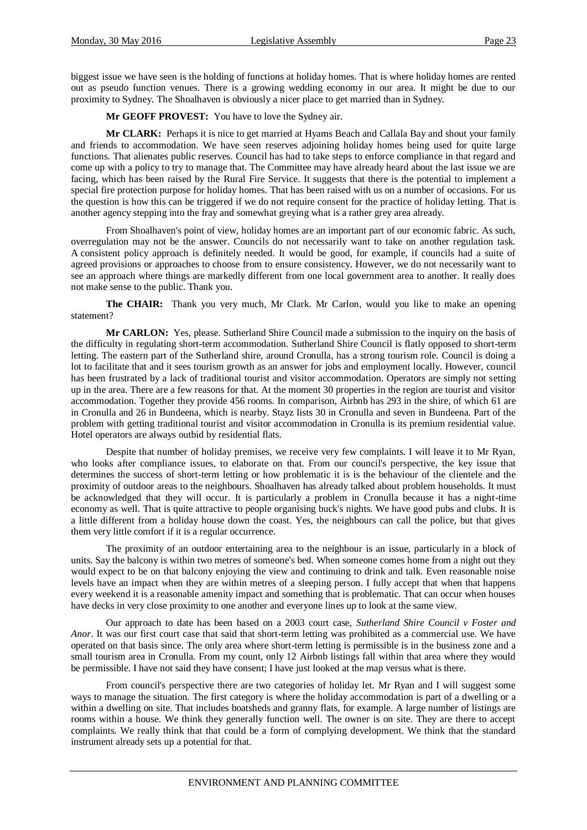biggest issue we have seen is the holding of functions at holiday homes. That is where holiday homes are rented out as pseudo function venues. There is a growing wedding economy in our area. It might be due to our proximity to Sydney. The Shoalhaven is obviously a nicer place to get married than in Sydney.

**Mr GEOFF PROVEST:** You have to love the Sydney air.

**Mr CLARK:** Perhaps it is nice to get married at Hyams Beach and Callala Bay and shout your family and friends to accommodation. We have seen reserves adjoining holiday homes being used for quite large functions. That alienates public reserves. Council has had to take steps to enforce compliance in that regard and come up with a policy to try to manage that. The Committee may have already heard about the last issue we are facing, which has been raised by the Rural Fire Service. It suggests that there is the potential to implement a special fire protection purpose for holiday homes. That has been raised with us on a number of occasions. For us the question is how this can be triggered if we do not require consent for the practice of holiday letting. That is another agency stepping into the fray and somewhat greying what is a rather grey area already.

From Shoalhaven's point of view, holiday homes are an important part of our economic fabric. As such, overregulation may not be the answer. Councils do not necessarily want to take on another regulation task. A consistent policy approach is definitely needed. It would be good, for example, if councils had a suite of agreed provisions or approaches to choose from to ensure consistency. However, we do not necessarily want to see an approach where things are markedly different from one local government area to another. It really does not make sense to the public. Thank you.

**The CHAIR:** Thank you very much, Mr Clark. Mr Carlon, would you like to make an opening statement?

**Mr CARLON:** Yes, please. Sutherland Shire Council made a submission to the inquiry on the basis of the difficulty in regulating short-term accommodation. Sutherland Shire Council is flatly opposed to short-term letting. The eastern part of the Sutherland shire, around Cronulla, has a strong tourism role. Council is doing a lot to facilitate that and it sees tourism growth as an answer for jobs and employment locally. However, council has been frustrated by a lack of traditional tourist and visitor accommodation. Operators are simply not setting up in the area. There are a few reasons for that. At the moment 30 properties in the region are tourist and visitor accommodation. Together they provide 456 rooms. In comparison, Airbnb has 293 in the shire, of which 61 are in Cronulla and 26 in Bundeena, which is nearby. Stayz lists 30 in Cronulla and seven in Bundeena. Part of the problem with getting traditional tourist and visitor accommodation in Cronulla is its premium residential value. Hotel operators are always outbid by residential flats.

Despite that number of holiday premises, we receive very few complaints. I will leave it to Mr Ryan, who looks after compliance issues, to elaborate on that. From our council's perspective, the key issue that determines the success of short-term letting or how problematic it is is the behaviour of the clientele and the proximity of outdoor areas to the neighbours. Shoalhaven has already talked about problem households. It must be acknowledged that they will occur. It is particularly a problem in Cronulla because it has a night-time economy as well. That is quite attractive to people organising buck's nights. We have good pubs and clubs. It is a little different from a holiday house down the coast. Yes, the neighbours can call the police, but that gives them very little comfort if it is a regular occurrence.

The proximity of an outdoor entertaining area to the neighbour is an issue, particularly in a block of units. Say the balcony is within two metres of someone's bed. When someone comes home from a night out they would expect to be on that balcony enjoying the view and continuing to drink and talk. Even reasonable noise levels have an impact when they are within metres of a sleeping person. I fully accept that when that happens every weekend it is a reasonable amenity impact and something that is problematic. That can occur when houses have decks in very close proximity to one another and everyone lines up to look at the same view.

Our approach to date has been based on a 2003 court case, *Sutherland Shire Council v Foster and Anor*. It was our first court case that said that short-term letting was prohibited as a commercial use. We have operated on that basis since. The only area where short-term letting is permissible is in the business zone and a small tourism area in Cronulla. From my count, only 12 Airbnb listings fall within that area where they would be permissible. I have not said they have consent; I have just looked at the map versus what is there.

From council's perspective there are two categories of holiday let. Mr Ryan and I will suggest some ways to manage the situation. The first category is where the holiday accommodation is part of a dwelling or a within a dwelling on site. That includes boatsheds and granny flats, for example. A large number of listings are rooms within a house. We think they generally function well. The owner is on site. They are there to accept complaints. We really think that that could be a form of complying development. We think that the standard instrument already sets up a potential for that.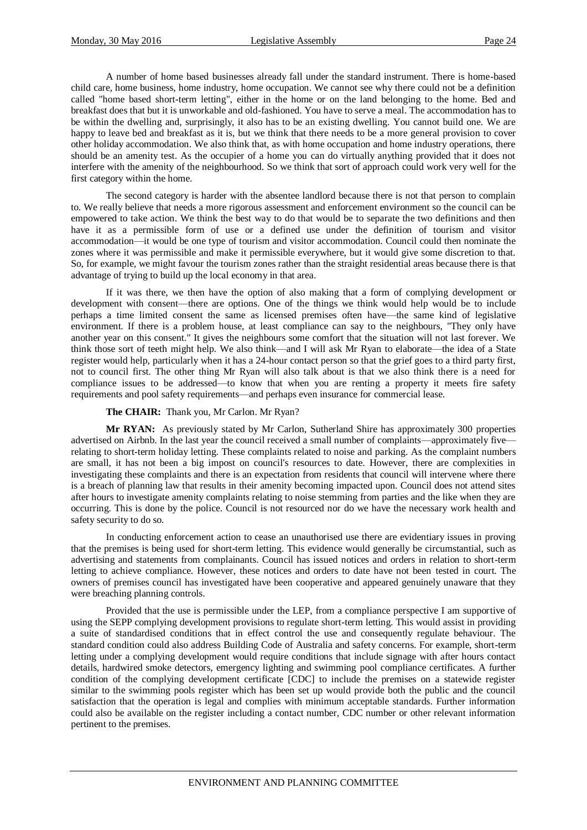A number of home based businesses already fall under the standard instrument. There is home-based child care, home business, home industry, home occupation. We cannot see why there could not be a definition called "home based short-term letting", either in the home or on the land belonging to the home. Bed and breakfast does that but it is unworkable and old-fashioned. You have to serve a meal. The accommodation has to be within the dwelling and, surprisingly, it also has to be an existing dwelling. You cannot build one. We are happy to leave bed and breakfast as it is, but we think that there needs to be a more general provision to cover other holiday accommodation. We also think that, as with home occupation and home industry operations, there should be an amenity test. As the occupier of a home you can do virtually anything provided that it does not interfere with the amenity of the neighbourhood. So we think that sort of approach could work very well for the first category within the home.

The second category is harder with the absentee landlord because there is not that person to complain to. We really believe that needs a more rigorous assessment and enforcement environment so the council can be empowered to take action. We think the best way to do that would be to separate the two definitions and then have it as a permissible form of use or a defined use under the definition of tourism and visitor accommodation—it would be one type of tourism and visitor accommodation. Council could then nominate the zones where it was permissible and make it permissible everywhere, but it would give some discretion to that. So, for example, we might favour the tourism zones rather than the straight residential areas because there is that advantage of trying to build up the local economy in that area.

If it was there, we then have the option of also making that a form of complying development or development with consent—there are options. One of the things we think would help would be to include perhaps a time limited consent the same as licensed premises often have—the same kind of legislative environment. If there is a problem house, at least compliance can say to the neighbours, "They only have another year on this consent." It gives the neighbours some comfort that the situation will not last forever. We think those sort of teeth might help. We also think—and I will ask Mr Ryan to elaborate—the idea of a State register would help, particularly when it has a 24-hour contact person so that the grief goes to a third party first, not to council first. The other thing Mr Ryan will also talk about is that we also think there is a need for compliance issues to be addressed—to know that when you are renting a property it meets fire safety requirements and pool safety requirements—and perhaps even insurance for commercial lease.

#### **The CHAIR:** Thank you, Mr Carlon. Mr Ryan?

**Mr RYAN:** As previously stated by Mr Carlon, Sutherland Shire has approximately 300 properties advertised on Airbnb. In the last year the council received a small number of complaints—approximately five relating to short-term holiday letting. These complaints related to noise and parking. As the complaint numbers are small, it has not been a big impost on council's resources to date. However, there are complexities in investigating these complaints and there is an expectation from residents that council will intervene where there is a breach of planning law that results in their amenity becoming impacted upon. Council does not attend sites after hours to investigate amenity complaints relating to noise stemming from parties and the like when they are occurring. This is done by the police. Council is not resourced nor do we have the necessary work health and safety security to do so.

In conducting enforcement action to cease an unauthorised use there are evidentiary issues in proving that the premises is being used for short-term letting. This evidence would generally be circumstantial, such as advertising and statements from complainants. Council has issued notices and orders in relation to short-term letting to achieve compliance. However, these notices and orders to date have not been tested in court. The owners of premises council has investigated have been cooperative and appeared genuinely unaware that they were breaching planning controls.

Provided that the use is permissible under the LEP, from a compliance perspective I am supportive of using the SEPP complying development provisions to regulate short-term letting. This would assist in providing a suite of standardised conditions that in effect control the use and consequently regulate behaviour. The standard condition could also address Building Code of Australia and safety concerns. For example, short-term letting under a complying development would require conditions that include signage with after hours contact details, hardwired smoke detectors, emergency lighting and swimming pool compliance certificates. A further condition of the complying development certificate [CDC] to include the premises on a statewide register similar to the swimming pools register which has been set up would provide both the public and the council satisfaction that the operation is legal and complies with minimum acceptable standards. Further information could also be available on the register including a contact number, CDC number or other relevant information pertinent to the premises.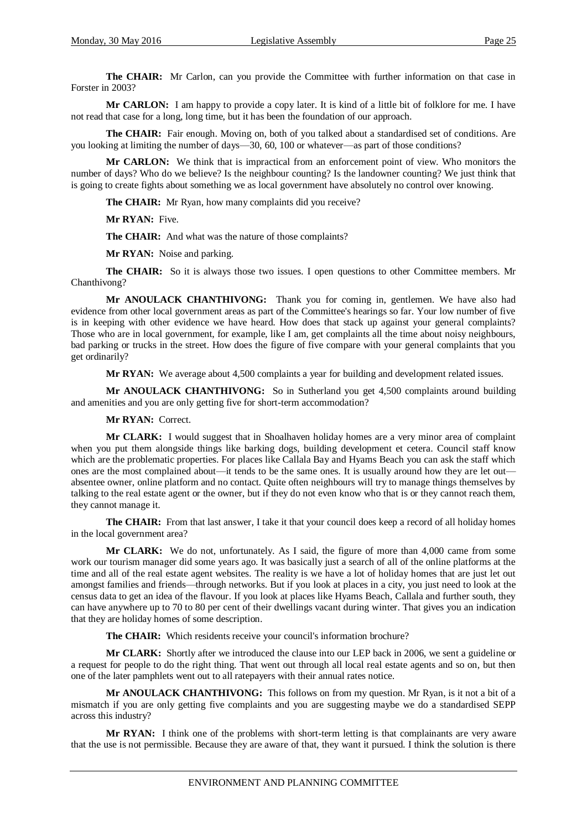**The CHAIR:** Mr Carlon, can you provide the Committee with further information on that case in Forster in 2003?

**Mr CARLON:** I am happy to provide a copy later. It is kind of a little bit of folklore for me. I have not read that case for a long, long time, but it has been the foundation of our approach.

**The CHAIR:** Fair enough. Moving on, both of you talked about a standardised set of conditions. Are you looking at limiting the number of days—30, 60, 100 or whatever—as part of those conditions?

**Mr CARLON:** We think that is impractical from an enforcement point of view. Who monitors the number of days? Who do we believe? Is the neighbour counting? Is the landowner counting? We just think that is going to create fights about something we as local government have absolutely no control over knowing.

**The CHAIR:** Mr Ryan, how many complaints did you receive?

**Mr RYAN:** Five.

**The CHAIR:** And what was the nature of those complaints?

**Mr RYAN:** Noise and parking.

**The CHAIR:** So it is always those two issues. I open questions to other Committee members. Mr Chanthivong?

**Mr ANOULACK CHANTHIVONG:** Thank you for coming in, gentlemen. We have also had evidence from other local government areas as part of the Committee's hearings so far. Your low number of five is in keeping with other evidence we have heard. How does that stack up against your general complaints? Those who are in local government, for example, like I am, get complaints all the time about noisy neighbours, bad parking or trucks in the street. How does the figure of five compare with your general complaints that you get ordinarily?

**Mr RYAN:** We average about 4,500 complaints a year for building and development related issues.

**Mr ANOULACK CHANTHIVONG:** So in Sutherland you get 4,500 complaints around building and amenities and you are only getting five for short-term accommodation?

#### **Mr RYAN:** Correct.

**Mr CLARK:** I would suggest that in Shoalhaven holiday homes are a very minor area of complaint when you put them alongside things like barking dogs, building development et cetera. Council staff know which are the problematic properties. For places like Callala Bay and Hyams Beach you can ask the staff which ones are the most complained about—it tends to be the same ones. It is usually around how they are let out absentee owner, online platform and no contact. Quite often neighbours will try to manage things themselves by talking to the real estate agent or the owner, but if they do not even know who that is or they cannot reach them, they cannot manage it.

**The CHAIR:** From that last answer, I take it that your council does keep a record of all holiday homes in the local government area?

**Mr CLARK:** We do not, unfortunately. As I said, the figure of more than 4,000 came from some work our tourism manager did some years ago. It was basically just a search of all of the online platforms at the time and all of the real estate agent websites. The reality is we have a lot of holiday homes that are just let out amongst families and friends—through networks. But if you look at places in a city, you just need to look at the census data to get an idea of the flavour. If you look at places like Hyams Beach, Callala and further south, they can have anywhere up to 70 to 80 per cent of their dwellings vacant during winter. That gives you an indication that they are holiday homes of some description.

**The CHAIR:** Which residents receive your council's information brochure?

**Mr CLARK:** Shortly after we introduced the clause into our LEP back in 2006, we sent a guideline or a request for people to do the right thing. That went out through all local real estate agents and so on, but then one of the later pamphlets went out to all ratepayers with their annual rates notice.

**Mr ANOULACK CHANTHIVONG:** This follows on from my question. Mr Ryan, is it not a bit of a mismatch if you are only getting five complaints and you are suggesting maybe we do a standardised SEPP across this industry?

**Mr RYAN:** I think one of the problems with short-term letting is that complainants are very aware that the use is not permissible. Because they are aware of that, they want it pursued. I think the solution is there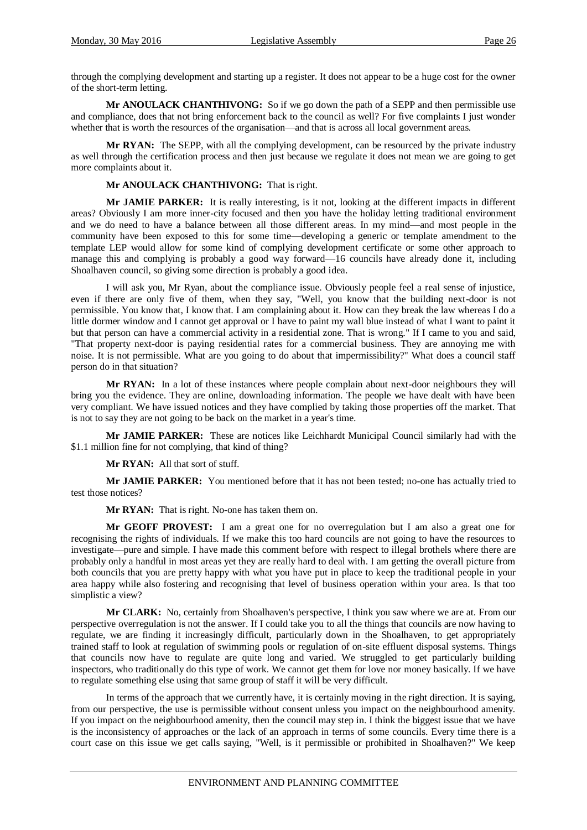through the complying development and starting up a register. It does not appear to be a huge cost for the owner of the short-term letting.

**Mr ANOULACK CHANTHIVONG:** So if we go down the path of a SEPP and then permissible use and compliance, does that not bring enforcement back to the council as well? For five complaints I just wonder whether that is worth the resources of the organisation—and that is across all local government areas.

**Mr RYAN:** The SEPP, with all the complying development, can be resourced by the private industry as well through the certification process and then just because we regulate it does not mean we are going to get more complaints about it.

#### **Mr ANOULACK CHANTHIVONG:** That is right.

**Mr JAMIE PARKER:** It is really interesting, is it not, looking at the different impacts in different areas? Obviously I am more inner-city focused and then you have the holiday letting traditional environment and we do need to have a balance between all those different areas. In my mind—and most people in the community have been exposed to this for some time—developing a generic or template amendment to the template LEP would allow for some kind of complying development certificate or some other approach to manage this and complying is probably a good way forward—16 councils have already done it, including Shoalhaven council, so giving some direction is probably a good idea.

I will ask you, Mr Ryan, about the compliance issue. Obviously people feel a real sense of injustice, even if there are only five of them, when they say, "Well, you know that the building next-door is not permissible. You know that, I know that. I am complaining about it. How can they break the law whereas I do a little dormer window and I cannot get approval or I have to paint my wall blue instead of what I want to paint it but that person can have a commercial activity in a residential zone. That is wrong." If I came to you and said, "That property next-door is paying residential rates for a commercial business. They are annoying me with noise. It is not permissible. What are you going to do about that impermissibility?" What does a council staff person do in that situation?

**Mr RYAN:** In a lot of these instances where people complain about next-door neighbours they will bring you the evidence. They are online, downloading information. The people we have dealt with have been very compliant. We have issued notices and they have complied by taking those properties off the market. That is not to say they are not going to be back on the market in a year's time.

**Mr JAMIE PARKER:** These are notices like Leichhardt Municipal Council similarly had with the \$1.1 million fine for not complying, that kind of thing?

**Mr RYAN:** All that sort of stuff.

**Mr JAMIE PARKER:** You mentioned before that it has not been tested; no-one has actually tried to test those notices?

**Mr RYAN:** That is right. No-one has taken them on.

**Mr GEOFF PROVEST:** I am a great one for no overregulation but I am also a great one for recognising the rights of individuals. If we make this too hard councils are not going to have the resources to investigate—pure and simple. I have made this comment before with respect to illegal brothels where there are probably only a handful in most areas yet they are really hard to deal with. I am getting the overall picture from both councils that you are pretty happy with what you have put in place to keep the traditional people in your area happy while also fostering and recognising that level of business operation within your area. Is that too simplistic a view?

**Mr CLARK:** No, certainly from Shoalhaven's perspective, I think you saw where we are at. From our perspective overregulation is not the answer. If I could take you to all the things that councils are now having to regulate, we are finding it increasingly difficult, particularly down in the Shoalhaven, to get appropriately trained staff to look at regulation of swimming pools or regulation of on-site effluent disposal systems. Things that councils now have to regulate are quite long and varied. We struggled to get particularly building inspectors, who traditionally do this type of work. We cannot get them for love nor money basically. If we have to regulate something else using that same group of staff it will be very difficult.

In terms of the approach that we currently have, it is certainly moving in the right direction. It is saying, from our perspective, the use is permissible without consent unless you impact on the neighbourhood amenity. If you impact on the neighbourhood amenity, then the council may step in. I think the biggest issue that we have is the inconsistency of approaches or the lack of an approach in terms of some councils. Every time there is a court case on this issue we get calls saying, "Well, is it permissible or prohibited in Shoalhaven?" We keep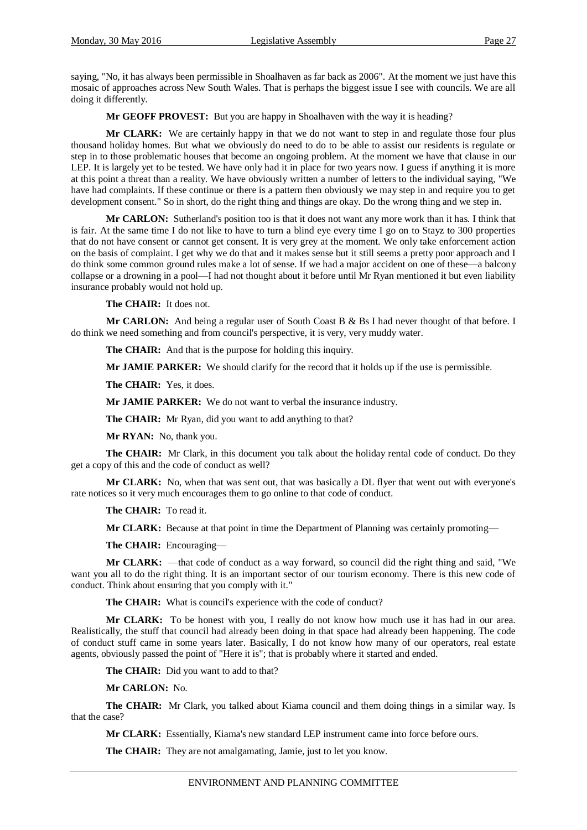saying, "No, it has always been permissible in Shoalhaven as far back as 2006". At the moment we just have this mosaic of approaches across New South Wales. That is perhaps the biggest issue I see with councils. We are all doing it differently.

**Mr GEOFF PROVEST:** But you are happy in Shoalhaven with the way it is heading?

**Mr CLARK:** We are certainly happy in that we do not want to step in and regulate those four plus thousand holiday homes. But what we obviously do need to do to be able to assist our residents is regulate or step in to those problematic houses that become an ongoing problem. At the moment we have that clause in our LEP. It is largely yet to be tested. We have only had it in place for two years now. I guess if anything it is more at this point a threat than a reality. We have obviously written a number of letters to the individual saying, "We have had complaints. If these continue or there is a pattern then obviously we may step in and require you to get development consent." So in short, do the right thing and things are okay. Do the wrong thing and we step in.

**Mr CARLON:** Sutherland's position too is that it does not want any more work than it has. I think that is fair. At the same time I do not like to have to turn a blind eye every time I go on to Stayz to 300 properties that do not have consent or cannot get consent. It is very grey at the moment. We only take enforcement action on the basis of complaint. I get why we do that and it makes sense but it still seems a pretty poor approach and I do think some common ground rules make a lot of sense. If we had a major accident on one of these—a balcony collapse or a drowning in a pool—I had not thought about it before until Mr Ryan mentioned it but even liability insurance probably would not hold up.

**The CHAIR:** It does not.

**Mr CARLON:** And being a regular user of South Coast B & Bs I had never thought of that before. I do think we need something and from council's perspective, it is very, very muddy water.

**The CHAIR:** And that is the purpose for holding this inquiry.

**Mr JAMIE PARKER:** We should clarify for the record that it holds up if the use is permissible.

**The CHAIR:** Yes, it does.

**Mr JAMIE PARKER:** We do not want to verbal the insurance industry.

**The CHAIR:** Mr Ryan, did you want to add anything to that?

**Mr RYAN:** No, thank you.

**The CHAIR:** Mr Clark, in this document you talk about the holiday rental code of conduct. Do they get a copy of this and the code of conduct as well?

**Mr CLARK:** No, when that was sent out, that was basically a DL flyer that went out with everyone's rate notices so it very much encourages them to go online to that code of conduct.

**The CHAIR:** To read it.

**Mr CLARK:** Because at that point in time the Department of Planning was certainly promoting—

**The CHAIR:** Encouraging—

**Mr CLARK:** —that code of conduct as a way forward, so council did the right thing and said, "We want you all to do the right thing. It is an important sector of our tourism economy. There is this new code of conduct. Think about ensuring that you comply with it."

**The CHAIR:** What is council's experience with the code of conduct?

**Mr CLARK:** To be honest with you, I really do not know how much use it has had in our area. Realistically, the stuff that council had already been doing in that space had already been happening. The code of conduct stuff came in some years later. Basically, I do not know how many of our operators, real estate agents, obviously passed the point of "Here it is"; that is probably where it started and ended.

**The CHAIR:** Did you want to add to that?

**Mr CARLON:** No.

**The CHAIR:** Mr Clark, you talked about Kiama council and them doing things in a similar way. Is that the case?

**Mr CLARK:** Essentially, Kiama's new standard LEP instrument came into force before ours.

**The CHAIR:** They are not amalgamating, Jamie, just to let you know.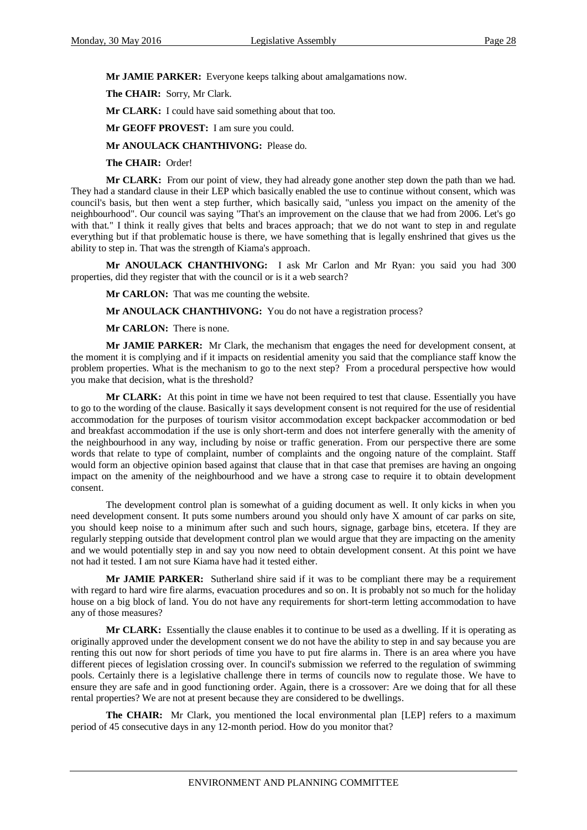**Mr JAMIE PARKER:** Everyone keeps talking about amalgamations now.

**The CHAIR:** Sorry, Mr Clark.

**Mr CLARK:** I could have said something about that too.

**Mr GEOFF PROVEST:** I am sure you could.

**Mr ANOULACK CHANTHIVONG:** Please do.

**The CHAIR:** Order!

**Mr CLARK:** From our point of view, they had already gone another step down the path than we had. They had a standard clause in their LEP which basically enabled the use to continue without consent, which was council's basis, but then went a step further, which basically said, "unless you impact on the amenity of the neighbourhood". Our council was saying "That's an improvement on the clause that we had from 2006. Let's go with that." I think it really gives that belts and braces approach; that we do not want to step in and regulate everything but if that problematic house is there, we have something that is legally enshrined that gives us the ability to step in. That was the strength of Kiama's approach.

**Mr ANOULACK CHANTHIVONG:** I ask Mr Carlon and Mr Ryan: you said you had 300 properties, did they register that with the council or is it a web search?

**Mr CARLON:** That was me counting the website.

**Mr ANOULACK CHANTHIVONG:** You do not have a registration process?

**Mr CARLON:** There is none.

**Mr JAMIE PARKER:** Mr Clark, the mechanism that engages the need for development consent, at the moment it is complying and if it impacts on residential amenity you said that the compliance staff know the problem properties. What is the mechanism to go to the next step? From a procedural perspective how would you make that decision, what is the threshold?

**Mr CLARK:** At this point in time we have not been required to test that clause. Essentially you have to go to the wording of the clause. Basically it says development consent is not required for the use of residential accommodation for the purposes of tourism visitor accommodation except backpacker accommodation or bed and breakfast accommodation if the use is only short-term and does not interfere generally with the amenity of the neighbourhood in any way, including by noise or traffic generation. From our perspective there are some words that relate to type of complaint, number of complaints and the ongoing nature of the complaint. Staff would form an objective opinion based against that clause that in that case that premises are having an ongoing impact on the amenity of the neighbourhood and we have a strong case to require it to obtain development consent.

The development control plan is somewhat of a guiding document as well. It only kicks in when you need development consent. It puts some numbers around you should only have X amount of car parks on site, you should keep noise to a minimum after such and such hours, signage, garbage bins, etcetera. If they are regularly stepping outside that development control plan we would argue that they are impacting on the amenity and we would potentially step in and say you now need to obtain development consent. At this point we have not had it tested. I am not sure Kiama have had it tested either.

**Mr JAMIE PARKER:** Sutherland shire said if it was to be compliant there may be a requirement with regard to hard wire fire alarms, evacuation procedures and so on. It is probably not so much for the holiday house on a big block of land. You do not have any requirements for short-term letting accommodation to have any of those measures?

**Mr CLARK:** Essentially the clause enables it to continue to be used as a dwelling. If it is operating as originally approved under the development consent we do not have the ability to step in and say because you are renting this out now for short periods of time you have to put fire alarms in. There is an area where you have different pieces of legislation crossing over. In council's submission we referred to the regulation of swimming pools. Certainly there is a legislative challenge there in terms of councils now to regulate those. We have to ensure they are safe and in good functioning order. Again, there is a crossover: Are we doing that for all these rental properties? We are not at present because they are considered to be dwellings.

**The CHAIR:** Mr Clark, you mentioned the local environmental plan [LEP] refers to a maximum period of 45 consecutive days in any 12-month period. How do you monitor that?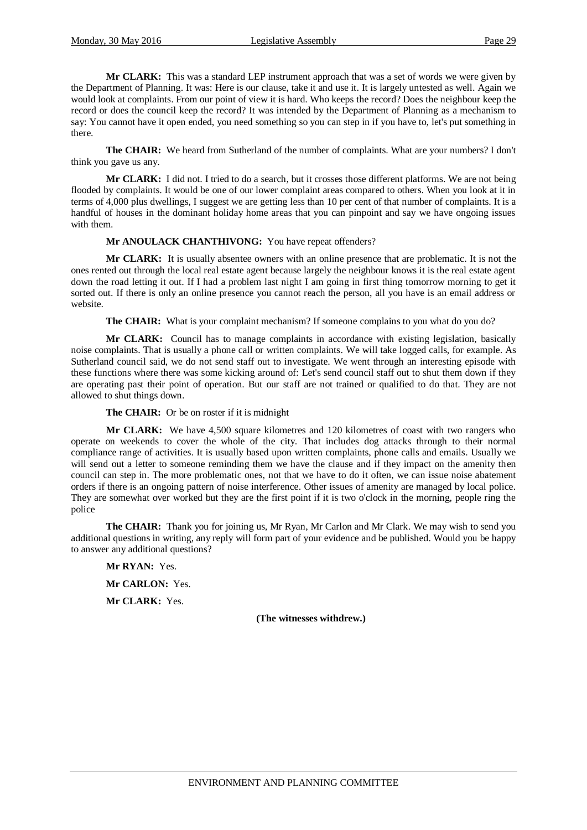**Mr CLARK:** This was a standard LEP instrument approach that was a set of words we were given by the Department of Planning. It was: Here is our clause, take it and use it. It is largely untested as well. Again we would look at complaints. From our point of view it is hard. Who keeps the record? Does the neighbour keep the record or does the council keep the record? It was intended by the Department of Planning as a mechanism to say: You cannot have it open ended, you need something so you can step in if you have to, let's put something in there.

**The CHAIR:** We heard from Sutherland of the number of complaints. What are your numbers? I don't think you gave us any.

**Mr CLARK:** I did not. I tried to do a search, but it crosses those different platforms. We are not being flooded by complaints. It would be one of our lower complaint areas compared to others. When you look at it in terms of 4,000 plus dwellings, I suggest we are getting less than 10 per cent of that number of complaints. It is a handful of houses in the dominant holiday home areas that you can pinpoint and say we have ongoing issues with them.

#### **Mr ANOULACK CHANTHIVONG:** You have repeat offenders?

**Mr CLARK:** It is usually absentee owners with an online presence that are problematic. It is not the ones rented out through the local real estate agent because largely the neighbour knows it is the real estate agent down the road letting it out. If I had a problem last night I am going in first thing tomorrow morning to get it sorted out. If there is only an online presence you cannot reach the person, all you have is an email address or website.

**The CHAIR:** What is your complaint mechanism? If someone complains to you what do you do?

**Mr CLARK:** Council has to manage complaints in accordance with existing legislation, basically noise complaints. That is usually a phone call or written complaints. We will take logged calls, for example. As Sutherland council said, we do not send staff out to investigate. We went through an interesting episode with these functions where there was some kicking around of: Let's send council staff out to shut them down if they are operating past their point of operation. But our staff are not trained or qualified to do that. They are not allowed to shut things down.

**The CHAIR:** Or be on roster if it is midnight

**Mr CLARK:** We have 4,500 square kilometres and 120 kilometres of coast with two rangers who operate on weekends to cover the whole of the city. That includes dog attacks through to their normal compliance range of activities. It is usually based upon written complaints, phone calls and emails. Usually we will send out a letter to someone reminding them we have the clause and if they impact on the amenity then council can step in. The more problematic ones, not that we have to do it often, we can issue noise abatement orders if there is an ongoing pattern of noise interference. Other issues of amenity are managed by local police. They are somewhat over worked but they are the first point if it is two o'clock in the morning, people ring the police

**The CHAIR:** Thank you for joining us, Mr Ryan, Mr Carlon and Mr Clark. We may wish to send you additional questions in writing, any reply will form part of your evidence and be published. Would you be happy to answer any additional questions?

**Mr RYAN:** Yes. **Mr CARLON:** Yes. **Mr CLARK:** Yes.

**(The witnesses withdrew.)**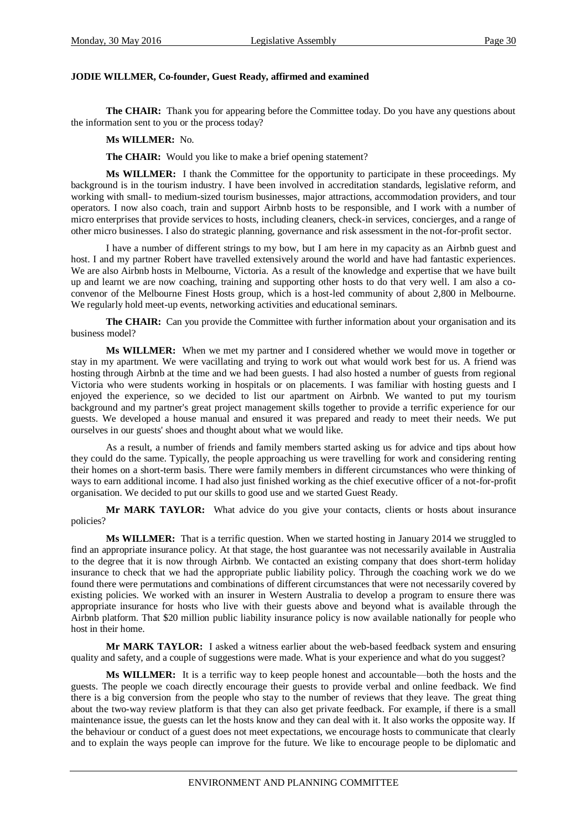#### **JODIE WILLMER, Co-founder, Guest Ready, affirmed and examined**

**The CHAIR:** Thank you for appearing before the Committee today. Do you have any questions about the information sent to you or the process today?

**Ms WILLMER:** No.

**The CHAIR:** Would you like to make a brief opening statement?

**Ms WILLMER:** I thank the Committee for the opportunity to participate in these proceedings. My background is in the tourism industry. I have been involved in accreditation standards, legislative reform, and working with small- to medium-sized tourism businesses, major attractions, accommodation providers, and tour operators. I now also coach, train and support Airbnb hosts to be responsible, and I work with a number of micro enterprises that provide services to hosts, including cleaners, check-in services, concierges, and a range of other micro businesses. I also do strategic planning, governance and risk assessment in the not-for-profit sector.

I have a number of different strings to my bow, but I am here in my capacity as an Airbnb guest and host. I and my partner Robert have travelled extensively around the world and have had fantastic experiences. We are also Airbnb hosts in Melbourne, Victoria. As a result of the knowledge and expertise that we have built up and learnt we are now coaching, training and supporting other hosts to do that very well. I am also a coconvenor of the Melbourne Finest Hosts group, which is a host-led community of about 2,800 in Melbourne. We regularly hold meet-up events, networking activities and educational seminars.

**The CHAIR:** Can you provide the Committee with further information about your organisation and its business model?

**Ms WILLMER:** When we met my partner and I considered whether we would move in together or stay in my apartment. We were vacillating and trying to work out what would work best for us. A friend was hosting through Airbnb at the time and we had been guests. I had also hosted a number of guests from regional Victoria who were students working in hospitals or on placements. I was familiar with hosting guests and I enjoyed the experience, so we decided to list our apartment on Airbnb. We wanted to put my tourism background and my partner's great project management skills together to provide a terrific experience for our guests. We developed a house manual and ensured it was prepared and ready to meet their needs. We put ourselves in our guests' shoes and thought about what we would like.

As a result, a number of friends and family members started asking us for advice and tips about how they could do the same. Typically, the people approaching us were travelling for work and considering renting their homes on a short-term basis. There were family members in different circumstances who were thinking of ways to earn additional income. I had also just finished working as the chief executive officer of a not-for-profit organisation. We decided to put our skills to good use and we started Guest Ready.

**Mr MARK TAYLOR:** What advice do you give your contacts, clients or hosts about insurance policies?

**Ms WILLMER:** That is a terrific question. When we started hosting in January 2014 we struggled to find an appropriate insurance policy. At that stage, the host guarantee was not necessarily available in Australia to the degree that it is now through Airbnb. We contacted an existing company that does short-term holiday insurance to check that we had the appropriate public liability policy. Through the coaching work we do we found there were permutations and combinations of different circumstances that were not necessarily covered by existing policies. We worked with an insurer in Western Australia to develop a program to ensure there was appropriate insurance for hosts who live with their guests above and beyond what is available through the Airbnb platform. That \$20 million public liability insurance policy is now available nationally for people who host in their home.

**Mr MARK TAYLOR:** I asked a witness earlier about the web-based feedback system and ensuring quality and safety, and a couple of suggestions were made. What is your experience and what do you suggest?

**Ms WILLMER:** It is a terrific way to keep people honest and accountable—both the hosts and the guests. The people we coach directly encourage their guests to provide verbal and online feedback. We find there is a big conversion from the people who stay to the number of reviews that they leave. The great thing about the two-way review platform is that they can also get private feedback. For example, if there is a small maintenance issue, the guests can let the hosts know and they can deal with it. It also works the opposite way. If the behaviour or conduct of a guest does not meet expectations, we encourage hosts to communicate that clearly and to explain the ways people can improve for the future. We like to encourage people to be diplomatic and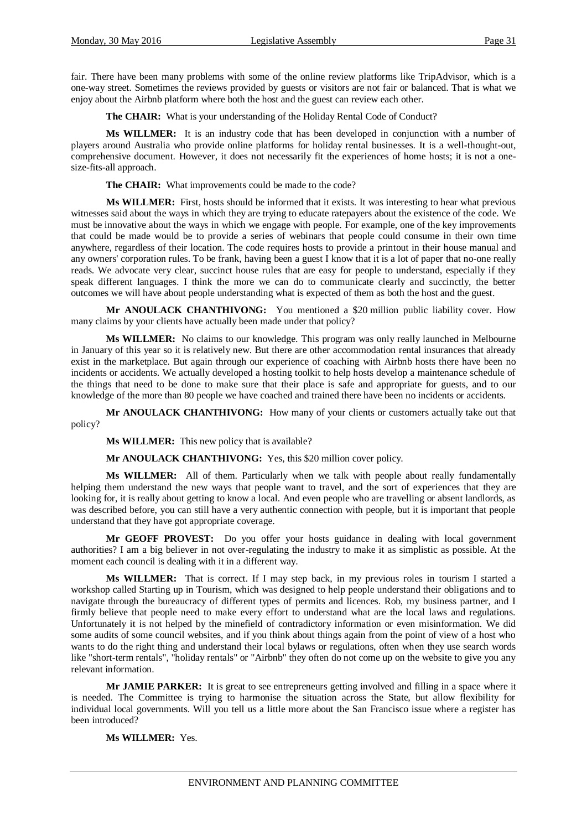fair. There have been many problems with some of the online review platforms like TripAdvisor, which is a one-way street. Sometimes the reviews provided by guests or visitors are not fair or balanced. That is what we enjoy about the Airbnb platform where both the host and the guest can review each other.

**The CHAIR:** What is your understanding of the Holiday Rental Code of Conduct?

**Ms WILLMER:** It is an industry code that has been developed in conjunction with a number of players around Australia who provide online platforms for holiday rental businesses. It is a well-thought-out, comprehensive document. However, it does not necessarily fit the experiences of home hosts; it is not a onesize-fits-all approach.

**The CHAIR:** What improvements could be made to the code?

**Ms WILLMER:** First, hosts should be informed that it exists. It was interesting to hear what previous witnesses said about the ways in which they are trying to educate ratepayers about the existence of the code. We must be innovative about the ways in which we engage with people. For example, one of the key improvements that could be made would be to provide a series of webinars that people could consume in their own time anywhere, regardless of their location. The code requires hosts to provide a printout in their house manual and any owners' corporation rules. To be frank, having been a guest I know that it is a lot of paper that no-one really reads. We advocate very clear, succinct house rules that are easy for people to understand, especially if they speak different languages. I think the more we can do to communicate clearly and succinctly, the better outcomes we will have about people understanding what is expected of them as both the host and the guest.

**Mr ANOULACK CHANTHIVONG:** You mentioned a \$20 million public liability cover. How many claims by your clients have actually been made under that policy?

**Ms WILLMER:** No claims to our knowledge. This program was only really launched in Melbourne in January of this year so it is relatively new. But there are other accommodation rental insurances that already exist in the marketplace. But again through our experience of coaching with Airbnb hosts there have been no incidents or accidents. We actually developed a hosting toolkit to help hosts develop a maintenance schedule of the things that need to be done to make sure that their place is safe and appropriate for guests, and to our knowledge of the more than 80 people we have coached and trained there have been no incidents or accidents.

**Mr ANOULACK CHANTHIVONG:** How many of your clients or customers actually take out that policy?

**Ms WILLMER:** This new policy that is available?

**Mr ANOULACK CHANTHIVONG:** Yes, this \$20 million cover policy.

**Ms WILLMER:** All of them. Particularly when we talk with people about really fundamentally helping them understand the new ways that people want to travel, and the sort of experiences that they are looking for, it is really about getting to know a local. And even people who are travelling or absent landlords, as was described before, you can still have a very authentic connection with people, but it is important that people understand that they have got appropriate coverage.

**Mr GEOFF PROVEST:** Do you offer your hosts guidance in dealing with local government authorities? I am a big believer in not over-regulating the industry to make it as simplistic as possible. At the moment each council is dealing with it in a different way.

**Ms WILLMER:** That is correct. If I may step back, in my previous roles in tourism I started a workshop called Starting up in Tourism, which was designed to help people understand their obligations and to navigate through the bureaucracy of different types of permits and licences. Rob, my business partner, and I firmly believe that people need to make every effort to understand what are the local laws and regulations. Unfortunately it is not helped by the minefield of contradictory information or even misinformation. We did some audits of some council websites, and if you think about things again from the point of view of a host who wants to do the right thing and understand their local bylaws or regulations, often when they use search words like "short-term rentals", "holiday rentals" or "Airbnb" they often do not come up on the website to give you any relevant information.

**Mr JAMIE PARKER:** It is great to see entrepreneurs getting involved and filling in a space where it is needed. The Committee is trying to harmonise the situation across the State, but allow flexibility for individual local governments. Will you tell us a little more about the San Francisco issue where a register has been introduced?

**Ms WILLMER:** Yes.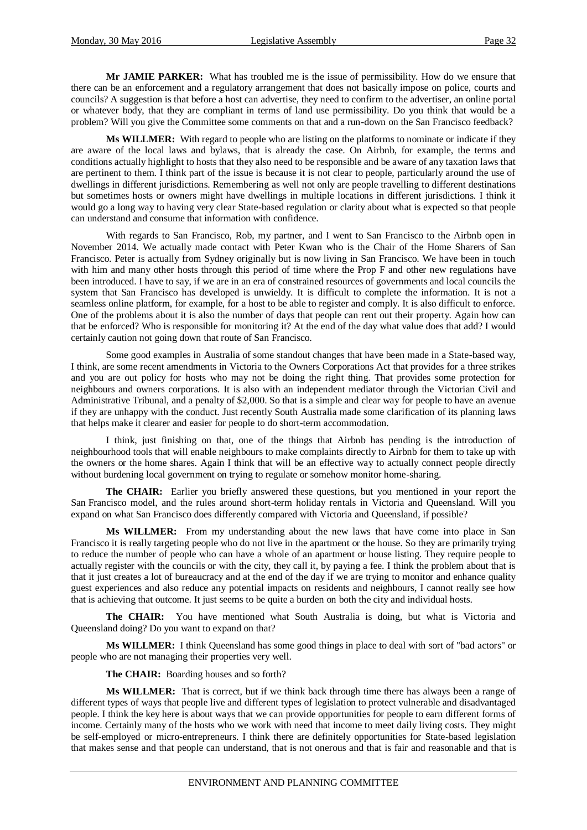**Mr JAMIE PARKER:** What has troubled me is the issue of permissibility. How do we ensure that there can be an enforcement and a regulatory arrangement that does not basically impose on police, courts and councils? A suggestion is that before a host can advertise, they need to confirm to the advertiser, an online portal or whatever body, that they are compliant in terms of land use permissibility. Do you think that would be a problem? Will you give the Committee some comments on that and a run-down on the San Francisco feedback?

**Ms WILLMER:** With regard to people who are listing on the platforms to nominate or indicate if they are aware of the local laws and bylaws, that is already the case. On Airbnb, for example, the terms and conditions actually highlight to hosts that they also need to be responsible and be aware of any taxation laws that are pertinent to them. I think part of the issue is because it is not clear to people, particularly around the use of dwellings in different jurisdictions. Remembering as well not only are people travelling to different destinations but sometimes hosts or owners might have dwellings in multiple locations in different jurisdictions. I think it would go a long way to having very clear State-based regulation or clarity about what is expected so that people can understand and consume that information with confidence.

With regards to San Francisco, Rob, my partner, and I went to San Francisco to the Airbnb open in November 2014. We actually made contact with Peter Kwan who is the Chair of the Home Sharers of San Francisco. Peter is actually from Sydney originally but is now living in San Francisco. We have been in touch with him and many other hosts through this period of time where the Prop F and other new regulations have been introduced. I have to say, if we are in an era of constrained resources of governments and local councils the system that San Francisco has developed is unwieldy. It is difficult to complete the information. It is not a seamless online platform, for example, for a host to be able to register and comply. It is also difficult to enforce. One of the problems about it is also the number of days that people can rent out their property. Again how can that be enforced? Who is responsible for monitoring it? At the end of the day what value does that add? I would certainly caution not going down that route of San Francisco.

Some good examples in Australia of some standout changes that have been made in a State-based way, I think, are some recent amendments in Victoria to the Owners Corporations Act that provides for a three strikes and you are out policy for hosts who may not be doing the right thing. That provides some protection for neighbours and owners corporations. It is also with an independent mediator through the Victorian Civil and Administrative Tribunal, and a penalty of \$2,000. So that is a simple and clear way for people to have an avenue if they are unhappy with the conduct. Just recently South Australia made some clarification of its planning laws that helps make it clearer and easier for people to do short-term accommodation.

I think, just finishing on that, one of the things that Airbnb has pending is the introduction of neighbourhood tools that will enable neighbours to make complaints directly to Airbnb for them to take up with the owners or the home shares. Again I think that will be an effective way to actually connect people directly without burdening local government on trying to regulate or somehow monitor home-sharing.

**The CHAIR:** Earlier you briefly answered these questions, but you mentioned in your report the San Francisco model, and the rules around short-term holiday rentals in Victoria and Queensland. Will you expand on what San Francisco does differently compared with Victoria and Queensland, if possible?

**Ms WILLMER:** From my understanding about the new laws that have come into place in San Francisco it is really targeting people who do not live in the apartment or the house. So they are primarily trying to reduce the number of people who can have a whole of an apartment or house listing. They require people to actually register with the councils or with the city, they call it, by paying a fee. I think the problem about that is that it just creates a lot of bureaucracy and at the end of the day if we are trying to monitor and enhance quality guest experiences and also reduce any potential impacts on residents and neighbours, I cannot really see how that is achieving that outcome. It just seems to be quite a burden on both the city and individual hosts.

**The CHAIR:** You have mentioned what South Australia is doing, but what is Victoria and Queensland doing? Do you want to expand on that?

**Ms WILLMER:** I think Queensland has some good things in place to deal with sort of "bad actors" or people who are not managing their properties very well.

**The CHAIR:** Boarding houses and so forth?

**Ms WILLMER:** That is correct, but if we think back through time there has always been a range of different types of ways that people live and different types of legislation to protect vulnerable and disadvantaged people. I think the key here is about ways that we can provide opportunities for people to earn different forms of income. Certainly many of the hosts who we work with need that income to meet daily living costs. They might be self-employed or micro-entrepreneurs. I think there are definitely opportunities for State-based legislation that makes sense and that people can understand, that is not onerous and that is fair and reasonable and that is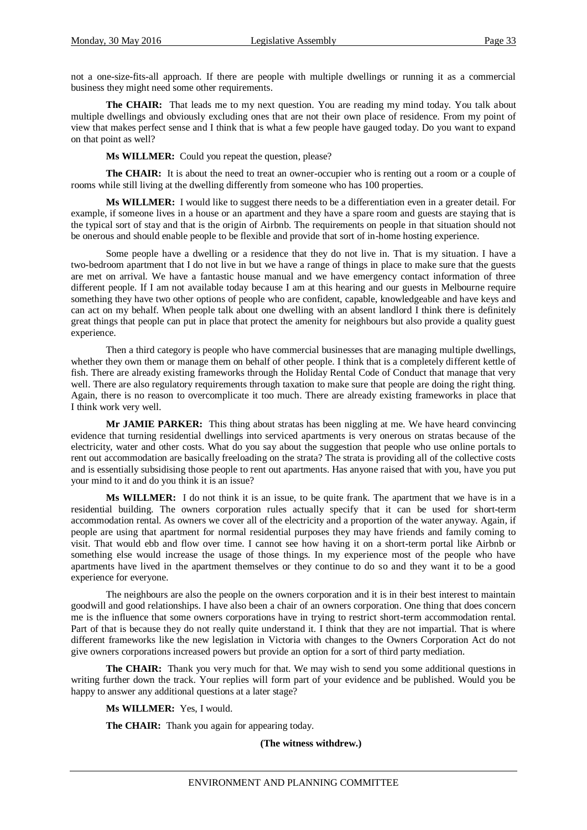not a one-size-fits-all approach. If there are people with multiple dwellings or running it as a commercial business they might need some other requirements.

**The CHAIR:** That leads me to my next question. You are reading my mind today. You talk about multiple dwellings and obviously excluding ones that are not their own place of residence. From my point of view that makes perfect sense and I think that is what a few people have gauged today. Do you want to expand on that point as well?

**Ms WILLMER:** Could you repeat the question, please?

**The CHAIR:** It is about the need to treat an owner-occupier who is renting out a room or a couple of rooms while still living at the dwelling differently from someone who has 100 properties.

**Ms WILLMER:** I would like to suggest there needs to be a differentiation even in a greater detail. For example, if someone lives in a house or an apartment and they have a spare room and guests are staying that is the typical sort of stay and that is the origin of Airbnb. The requirements on people in that situation should not be onerous and should enable people to be flexible and provide that sort of in-home hosting experience.

Some people have a dwelling or a residence that they do not live in. That is my situation. I have a two-bedroom apartment that I do not live in but we have a range of things in place to make sure that the guests are met on arrival. We have a fantastic house manual and we have emergency contact information of three different people. If I am not available today because I am at this hearing and our guests in Melbourne require something they have two other options of people who are confident, capable, knowledgeable and have keys and can act on my behalf. When people talk about one dwelling with an absent landlord I think there is definitely great things that people can put in place that protect the amenity for neighbours but also provide a quality guest experience.

Then a third category is people who have commercial businesses that are managing multiple dwellings, whether they own them or manage them on behalf of other people. I think that is a completely different kettle of fish. There are already existing frameworks through the Holiday Rental Code of Conduct that manage that very well. There are also regulatory requirements through taxation to make sure that people are doing the right thing. Again, there is no reason to overcomplicate it too much. There are already existing frameworks in place that I think work very well.

**Mr JAMIE PARKER:** This thing about stratas has been niggling at me. We have heard convincing evidence that turning residential dwellings into serviced apartments is very onerous on stratas because of the electricity, water and other costs. What do you say about the suggestion that people who use online portals to rent out accommodation are basically freeloading on the strata? The strata is providing all of the collective costs and is essentially subsidising those people to rent out apartments. Has anyone raised that with you, have you put your mind to it and do you think it is an issue?

**Ms WILLMER:** I do not think it is an issue, to be quite frank. The apartment that we have is in a residential building. The owners corporation rules actually specify that it can be used for short-term accommodation rental. As owners we cover all of the electricity and a proportion of the water anyway. Again, if people are using that apartment for normal residential purposes they may have friends and family coming to visit. That would ebb and flow over time. I cannot see how having it on a short-term portal like Airbnb or something else would increase the usage of those things. In my experience most of the people who have apartments have lived in the apartment themselves or they continue to do so and they want it to be a good experience for everyone.

The neighbours are also the people on the owners corporation and it is in their best interest to maintain goodwill and good relationships. I have also been a chair of an owners corporation. One thing that does concern me is the influence that some owners corporations have in trying to restrict short-term accommodation rental. Part of that is because they do not really quite understand it. I think that they are not impartial. That is where different frameworks like the new legislation in Victoria with changes to the Owners Corporation Act do not give owners corporations increased powers but provide an option for a sort of third party mediation.

**The CHAIR:** Thank you very much for that. We may wish to send you some additional questions in writing further down the track. Your replies will form part of your evidence and be published. Would you be happy to answer any additional questions at a later stage?

**Ms WILLMER:** Yes, I would.

**The CHAIR:** Thank you again for appearing today.

**(The witness withdrew.)**